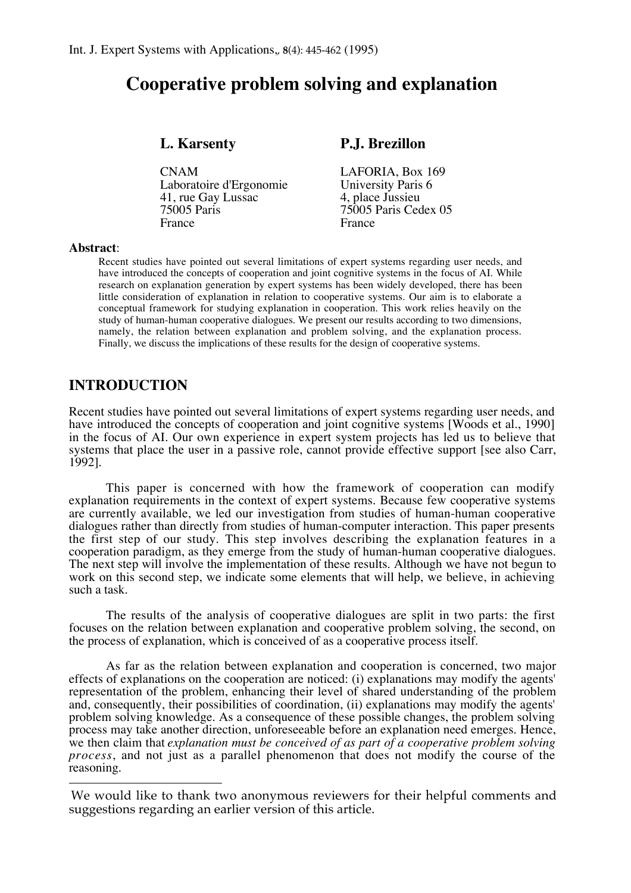# **Cooperative problem solving and explanation**

CNAM LAFORIA, Box 169<br>Laboratoire d'Ergonomie University Paris 6 Laboratoire d'Ergonomie University Paris<br>41, rue Gay Lussac 4, place Jussieu 41, rue Gay Lussac<br>75005 Paris France France France

## **L. Karsenty P.J. Brezillon**

75005 Paris 75005 Paris Cedex 05

#### **Abstract**:

 $\overline{a}$ 

Recent studies have pointed out several limitations of expert systems regarding user needs, and have introduced the concepts of cooperation and joint cognitive systems in the focus of AI. While research on explanation generation by expert systems has been widely developed, there has been little consideration of explanation in relation to cooperative systems. Our aim is to elaborate a conceptual framework for studying explanation in cooperation. This work relies heavily on the study of human-human cooperative dialogues. We present our results according to two dimensions, namely, the relation between explanation and problem solving, and the explanation process. Finally, we discuss the implications of these results for the design of cooperative systems.

## **INTRODUCTION**

Recent studies have pointed out several limitations of expert systems regarding user needs, and have introduced the concepts of cooperation and joint cognitive systems [Woods et al., 1990] in the focus of AI. Our own experience in expert system projects has led us to believe that systems that place the user in a passive role, cannot provide effective support [see also Carr, 1992].

This paper is concerned with how the framework of cooperation can modify explanation requirements in the context of expert systems. Because few cooperative systems are currently available, we led our investigation from studies of human-human cooperative dialogues rather than directly from studies of human-computer interaction. This paper presents the first step of our study. This step involves describing the explanation features in a cooperation paradigm, as they emerge from the study of human-human cooperative dialogues. The next step will involve the implementation of these results. Although we have not begun to work on this second step, we indicate some elements that will help, we believe, in achieving such a task.

The results of the analysis of cooperative dialogues are split in two parts: the first focuses on the relation between explanation and cooperative problem solving, the second, on the process of explanation, which is conceived of as a cooperative process itself.

As far as the relation between explanation and cooperation is concerned, two major effects of explanations on the cooperation are noticed: (i) explanations may modify the agents' representation of the problem, enhancing their level of shared understanding of the problem and, consequently, their possibilities of coordination, (ii) explanations may modify the agents' problem solving knowledge. As a consequence of these possible changes, the problem solving process may take another direction, unforeseeable before an explanation need emerges. Hence, we then claim that *explanation must be conceived of as part of a cooperative problem solving process*, and not just as a parallel phenomenon that does not modify the course of the reasoning.

We would like to thank two anonymous reviewers for their helpful comments and suggestions regarding an earlier version of this article.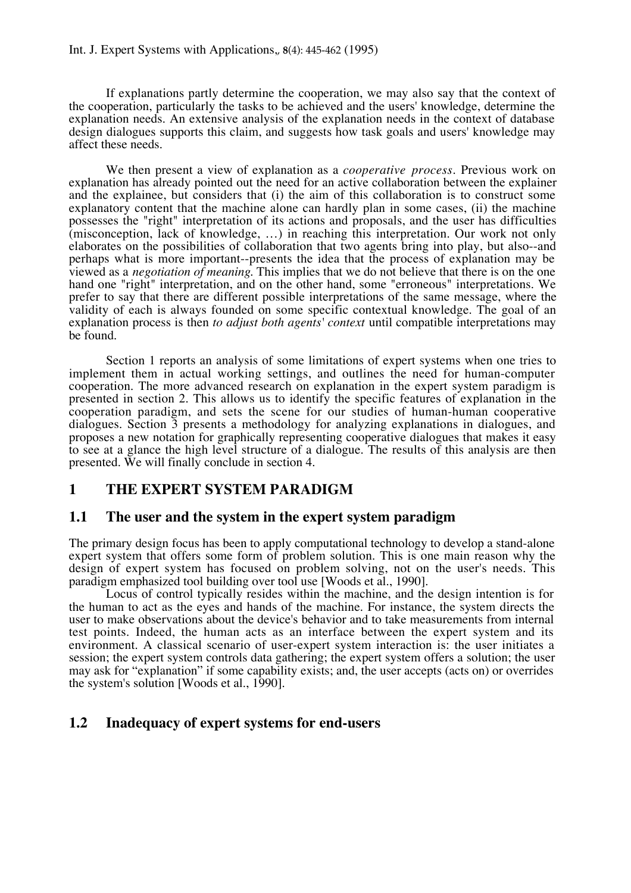If explanations partly determine the cooperation, we may also say that the context of the cooperation, particularly the tasks to be achieved and the users' knowledge, determine the explanation needs. An extensive analysis of the explanation needs in the context of database design dialogues supports this claim, and suggests how task goals and users' knowledge may affect these needs.

We then present a view of explanation as a *cooperative process*. Previous work on explanation has already pointed out the need for an active collaboration between the explainer and the explainee, but considers that (i) the aim of this collaboration is to construct some explanatory content that the machine alone can hardly plan in some cases, (ii) the machine possesses the "right" interpretation of its actions and proposals, and the user has difficulties (misconception, lack of knowledge, …) in reaching this interpretation. Our work not only elaborates on the possibilities of collaboration that two agents bring into play, but also--and perhaps what is more important--presents the idea that the process of explanation may be viewed as a *negotiation of meaning*. This implies that we do not believe that there is on the one hand one "right" interpretation, and on the other hand, some "erroneous" interpretations. We prefer to say that there are different possible interpretations of the same message, where the validity of each is always founded on some specific contextual knowledge. The goal of an explanation process is then *to adjust both agents' context* until compatible interpretations may be found.

Section 1 reports an analysis of some limitations of expert systems when one tries to implement them in actual working settings, and outlines the need for human-computer cooperation. The more advanced research on explanation in the expert system paradigm is presented in section 2. This allows us to identify the specific features of explanation in the cooperation paradigm, and sets the scene for our studies of human-human cooperative dialogues. Section 3 presents a methodology for analyzing explanations in dialogues, and proposes a new notation for graphically representing cooperative dialogues that makes it easy to see at a glance the high level structure of a dialogue. The results of this analysis are then presented. We will finally conclude in section 4.

## **1 THE EXPERT SYSTEM PARADIGM**

## **1.1 The user and the system in the expert system paradigm**

The primary design focus has been to apply computational technology to develop a stand-alone expert system that offers some form of problem solution. This is one main reason why the design of expert system has focused on problem solving, not on the user's needs. This paradigm emphasized tool building over tool use [Woods et al., 1990].

Locus of control typically resides within the machine, and the design intention is for the human to act as the eyes and hands of the machine. For instance, the system directs the user to make observations about the device's behavior and to take measurements from internal test points. Indeed, the human acts as an interface between the expert system and its environment. A classical scenario of user-expert system interaction is: the user initiates a session; the expert system controls data gathering; the expert system offers a solution; the user may ask for "explanation" if some capability exists; and, the user accepts (acts on) or overrides the system's solution [Woods et al., 1990].

## **1.2 Inadequacy of expert systems for end-users**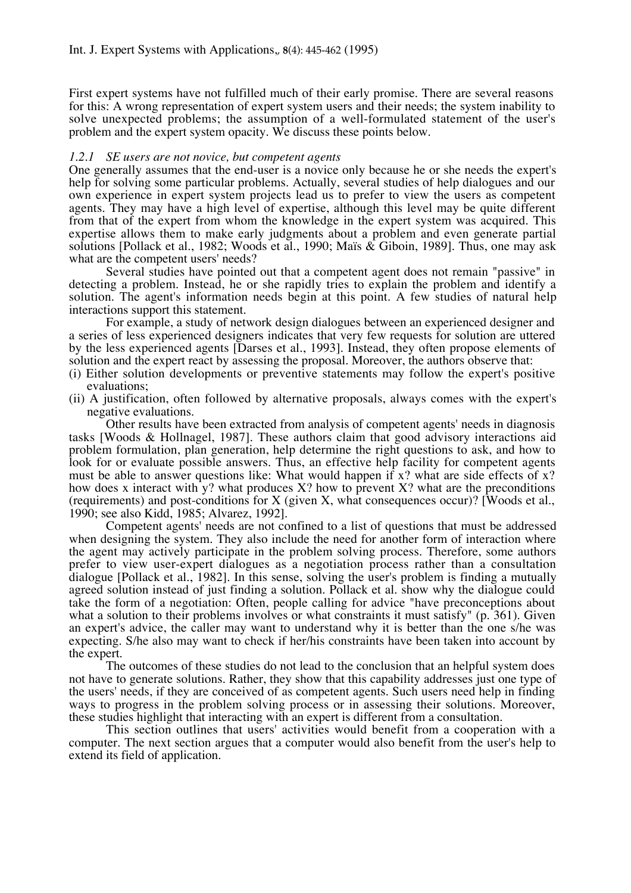First expert systems have not fulfilled much of their early promise. There are several reasons for this: A wrong representation of expert system users and their needs; the system inability to solve unexpected problems; the assumption of a well-formulated statement of the user's problem and the expert system opacity. We discuss these points below.

## *1.2.1 SE users are not novice, but competent agents*

One generally assumes that the end-user is a novice only because he or she needs the expert's help for solving some particular problems. Actually, several studies of help dialogues and our own experience in expert system projects lead us to prefer to view the users as competent agents. They may have a high level of expertise, although this level may be quite different from that of the expert from whom the knowledge in the expert system was acquired. This expertise allows them to make early judgments about a problem and even generate partial solutions [Pollack et al., 1982; Woods et al., 1990; Maïs & Giboin, 1989]. Thus, one may ask what are the competent users' needs?

Several studies have pointed out that a competent agent does not remain "passive" in detecting a problem. Instead, he or she rapidly tries to explain the problem and identify a solution. The agent's information needs begin at this point. A few studies of natural help interactions support this statement.

For example, a study of network design dialogues between an experienced designer and a series of less experienced designers indicates that very few requests for solution are uttered by the less experienced agents [Darses et al., 1993]. Instead, they often propose elements of solution and the expert react by assessing the proposal. Moreover, the authors observe that:

- (i) Either solution developments or preventive statements may follow the expert's positive evaluations;
- (ii) A justification, often followed by alternative proposals, always comes with the expert's negative evaluations.

Other results have been extracted from analysis of competent agents' needs in diagnosis tasks [Woods & Hollnagel, 1987]. These authors claim that good advisory interactions aid problem formulation, plan generation, help determine the right questions to ask, and how to look for or evaluate possible answers. Thus, an effective help facility for competent agents must be able to answer questions like: What would happen if  $x$ ? what are side effects of  $x$ ? how does x interact with y? what produces  $X$ ? how to prevent  $X$ ? what are the preconditions (requirements) and post-conditions for X (given X, what consequences occur)? [Woods et al., 1990; see also Kidd, 1985; Alvarez, 1992].

Competent agents' needs are not confined to a list of questions that must be addressed when designing the system. They also include the need for another form of interaction where the agent may actively participate in the problem solving process. Therefore, some authors prefer to view user-expert dialogues as a negotiation process rather than a consultation dialogue [Pollack et al., 1982]. In this sense, solving the user's problem is finding a mutually agreed solution instead of just finding a solution. Pollack et al. show why the dialogue could take the form of a negotiation: Often, people calling for advice "have preconceptions about what a solution to their problems involves or what constraints it must satisfy" (p. 361). Given an expert's advice, the caller may want to understand why it is better than the one s/he was expecting. S/he also may want to check if her/his constraints have been taken into account by the expert.

The outcomes of these studies do not lead to the conclusion that an helpful system does not have to generate solutions. Rather, they show that this capability addresses just one type of the users' needs, if they are conceived of as competent agents. Such users need help in finding ways to progress in the problem solving process or in assessing their solutions. Moreover, these studies highlight that interacting with an expert is different from a consultation.

This section outlines that users' activities would benefit from a cooperation with a computer. The next section argues that a computer would also benefit from the user's help to extend its field of application.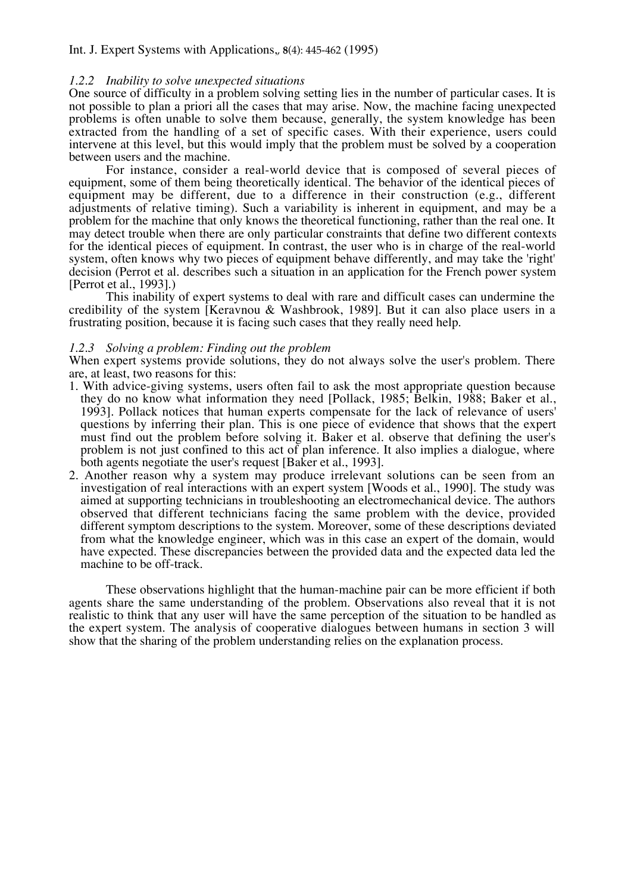#### *1.2.2 Inability to solve unexpected situations*

One source of difficulty in a problem solving setting lies in the number of particular cases. It is not possible to plan a priori all the cases that may arise. Now, the machine facing unexpected problems is often unable to solve them because, generally, the system knowledge has been extracted from the handling of a set of specific cases. With their experience, users could intervene at this level, but this would imply that the problem must be solved by a cooperation between users and the machine.

For instance, consider a real-world device that is composed of several pieces of equipment, some of them being theoretically identical. The behavior of the identical pieces of equipment may be different, due to a difference in their construction (e.g., different adjustments of relative timing). Such a variability is inherent in equipment, and may be a problem for the machine that only knows the theoretical functioning, rather than the real one. It may detect trouble when there are only particular constraints that define two different contexts for the identical pieces of equipment. In contrast, the user who is in charge of the real-world system, often knows why two pieces of equipment behave differently, and may take the 'right' decision (Perrot et al. describes such a situation in an application for the French power system [Perrot et al., 1993].)

This inability of expert systems to deal with rare and difficult cases can undermine the credibility of the system [Keravnou & Washbrook, 1989]. But it can also place users in a frustrating position, because it is facing such cases that they really need help.

#### *1.2.3 Solving a problem: Finding out the problem*

When expert systems provide solutions, they do not always solve the user's problem. There are, at least, two reasons for this:

- 1. With advice-giving systems, users often fail to ask the most appropriate question because they do no know what information they need [Pollack, 1985; Belkin, 1988; Baker et al., 1993]. Pollack notices that human experts compensate for the lack of relevance of users' questions by inferring their plan. This is one piece of evidence that shows that the expert must find out the problem before solving it. Baker et al. observe that defining the user's problem is not just confined to this act of plan inference. It also implies a dialogue, where both agents negotiate the user's request [Baker et al., 1993].
- 2. Another reason why a system may produce irrelevant solutions can be seen from an investigation of real interactions with an expert system [Woods et al., 1990]. The study was aimed at supporting technicians in troubleshooting an electromechanical device. The authors observed that different technicians facing the same problem with the device, provided different symptom descriptions to the system. Moreover, some of these descriptions deviated from what the knowledge engineer, which was in this case an expert of the domain, would have expected. These discrepancies between the provided data and the expected data led the machine to be off-track.

These observations highlight that the human-machine pair can be more efficient if both agents share the same understanding of the problem. Observations also reveal that it is not realistic to think that any user will have the same perception of the situation to be handled as the expert system. The analysis of cooperative dialogues between humans in section 3 will show that the sharing of the problem understanding relies on the explanation process.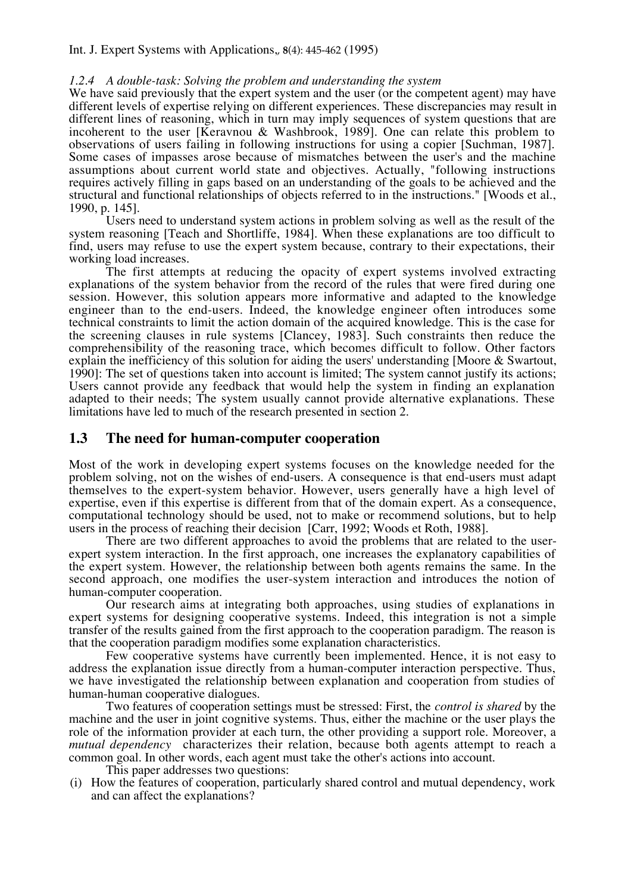#### *1.2.4 A double-task: Solving the problem and understanding the system*

We have said previously that the expert system and the user (or the competent agent) may have different levels of expertise relying on different experiences. These discrepancies may result in different lines of reasoning, which in turn may imply sequences of system questions that are incoherent to the user [Keravnou & Washbrook, 1989]. One can relate this problem to observations of users failing in following instructions for using a copier [Suchman, 1987]. Some cases of impasses arose because of mismatches between the user's and the machine assumptions about current world state and objectives. Actually, "following instructions requires actively filling in gaps based on an understanding of the goals to be achieved and the structural and functional relationships of objects referred to in the instructions." [Woods et al., 1990, p. 145].

Users need to understand system actions in problem solving as well as the result of the system reasoning [Teach and Shortliffe, 1984]. When these explanations are too difficult to find, users may refuse to use the expert system because, contrary to their expectations, their working load increases.

The first attempts at reducing the opacity of expert systems involved extracting explanations of the system behavior from the record of the rules that were fired during one session. However, this solution appears more informative and adapted to the knowledge engineer than to the end-users. Indeed, the knowledge engineer often introduces some technical constraints to limit the action domain of the acquired knowledge. This is the case for the screening clauses in rule systems [Clancey, 1983]. Such constraints then reduce the comprehensibility of the reasoning trace, which becomes difficult to follow. Other factors explain the inefficiency of this solution for aiding the users' understanding [Moore & Swartout, 1990]: The set of questions taken into account is limited; The system cannot justify its actions; Users cannot provide any feedback that would help the system in finding an explanation adapted to their needs; The system usually cannot provide alternative explanations. These limitations have led to much of the research presented in section 2.

## **1.3 The need for human-computer cooperation**

Most of the work in developing expert systems focuses on the knowledge needed for the problem solving, not on the wishes of end-users. A consequence is that end-users must adapt themselves to the expert-system behavior. However, users generally have a high level of expertise, even if this expertise is different from that of the domain expert. As a consequence, computational technology should be used, not to make or recommend solutions, but to help users in the process of reaching their decision [Carr, 1992; Woods et Roth, 1988].

There are two different approaches to avoid the problems that are related to the userexpert system interaction. In the first approach, one increases the explanatory capabilities of the expert system. However, the relationship between both agents remains the same. In the second approach, one modifies the user-system interaction and introduces the notion of human-computer cooperation.

Our research aims at integrating both approaches, using studies of explanations in expert systems for designing cooperative systems. Indeed, this integration is not a simple transfer of the results gained from the first approach to the cooperation paradigm. The reason is that the cooperation paradigm modifies some explanation characteristics.

Few cooperative systems have currently been implemented. Hence, it is not easy to address the explanation issue directly from a human-computer interaction perspective. Thus, we have investigated the relationship between explanation and cooperation from studies of human-human cooperative dialogues.

Two features of cooperation settings must be stressed: First, the *control is shared* by the machine and the user in joint cognitive systems. Thus, either the machine or the user plays the role of the information provider at each turn, the other providing a support role. Moreover, a *mutual dependency* characterizes their relation, because both agents attempt to reach a common goal. In other words, each agent must take the other's actions into account.

This paper addresses two questions:

(i) How the features of cooperation, particularly shared control and mutual dependency, work and can affect the explanations?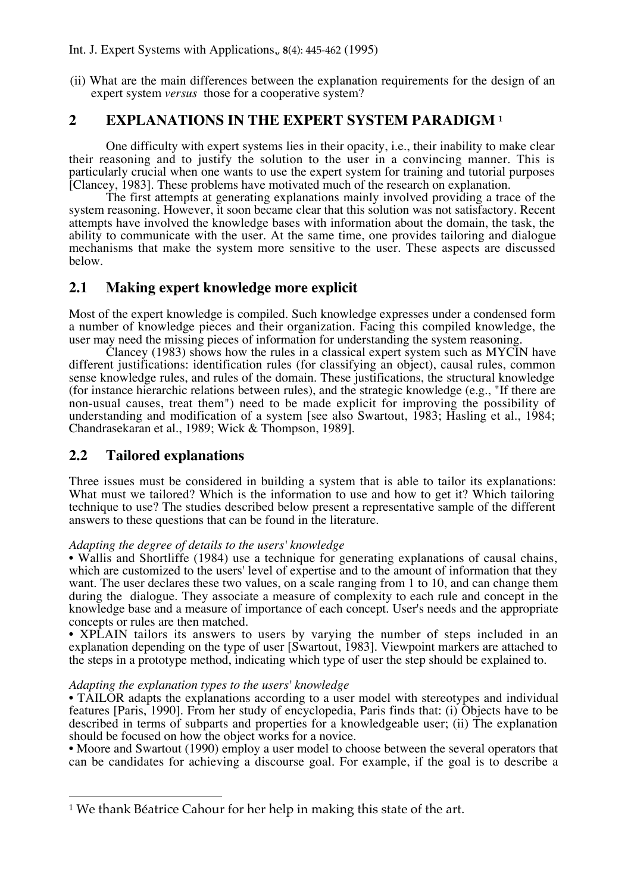(ii) What are the main differences between the explanation requirements for the design of an expert system *versus* those for a cooperative system?

# **2 EXPLANATIONS IN THE EXPERT SYSTEM PARADIGM <sup>1</sup>**

One difficulty with expert systems lies in their opacity, i.e., their inability to make clear their reasoning and to justify the solution to the user in a convincing manner. This is particularly crucial when one wants to use the expert system for training and tutorial purposes [Clancey, 1983]. These problems have motivated much of the research on explanation.

The first attempts at generating explanations mainly involved providing a trace of the system reasoning. However, it soon became clear that this solution was not satisfactory. Recent attempts have involved the knowledge bases with information about the domain, the task, the ability to communicate with the user. At the same time, one provides tailoring and dialogue mechanisms that make the system more sensitive to the user. These aspects are discussed below.

# **2.1 Making expert knowledge more explicit**

Most of the expert knowledge is compiled. Such knowledge expresses under a condensed form a number of knowledge pieces and their organization. Facing this compiled knowledge, the user may need the missing pieces of information for understanding the system reasoning.

Clancey (1983) shows how the rules in a classical expert system such as MYCIN have different justifications: identification rules (for classifying an object), causal rules, common sense knowledge rules, and rules of the domain. These justifications, the structural knowledge (for instance hierarchic relations between rules), and the strategic knowledge (e.g., "If there are non-usual causes, treat them") need to be made explicit for improving the possibility of understanding and modification of a system [see also Swartout, 1983; Hasling et al., 1984; Chandrasekaran et al., 1989; Wick & Thompson, 1989].

## **2.2 Tailored explanations**

Three issues must be considered in building a system that is able to tailor its explanations: What must we tailored? Which is the information to use and how to get it? Which tailoring technique to use? The studies described below present a representative sample of the different answers to these questions that can be found in the literature.

## *Adapting the degree of details to the users' knowledge*

• Wallis and Shortliffe (1984) use a technique for generating explanations of causal chains, which are customized to the users' level of expertise and to the amount of information that they want. The user declares these two values, on a scale ranging from 1 to 10, and can change them during the dialogue. They associate a measure of complexity to each rule and concept in the knowledge base and a measure of importance of each concept. User's needs and the appropriate concepts or rules are then matched.

• XPLAIN tailors its answers to users by varying the number of steps included in an explanation depending on the type of user [Swartout, 1983]. Viewpoint markers are attached to the steps in a prototype method, indicating which type of user the step should be explained to.

## *Adapting the explanation types to the users' knowledge*

• TAILOR adapts the explanations according to a user model with stereotypes and individual features [Paris, 1990]. From her study of encyclopedia, Paris finds that: (i) Objects have to be described in terms of subparts and properties for a knowledgeable user; (ii) The explanation should be focused on how the object works for a novice.

•!Moore and Swartout (1990) employ a user model to choose between the several operators that can be candidates for achieving a discourse goal. For example, if the goal is to describe a

 $\overline{a}$ 1 We thank Béatrice Cahour for her help in making this state of the art.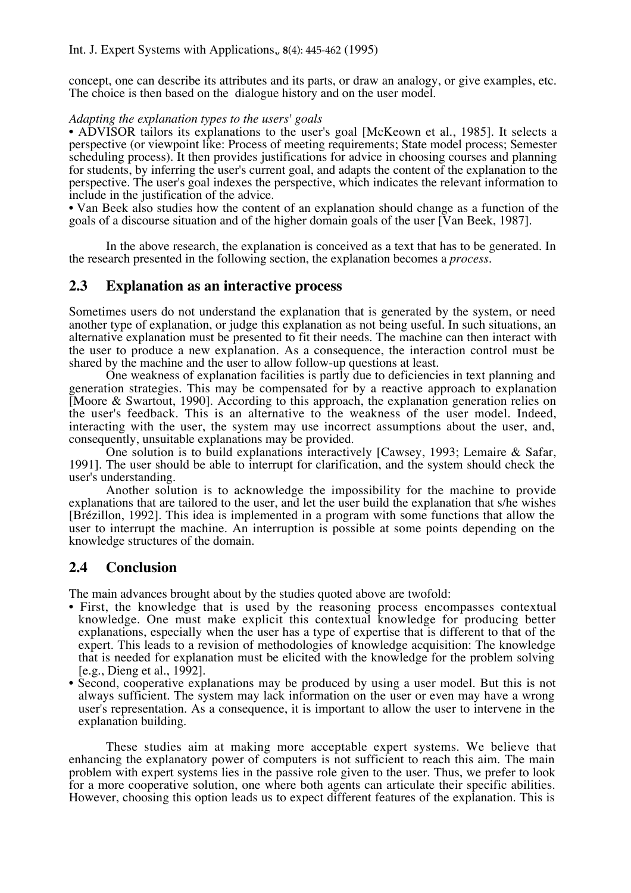concept, one can describe its attributes and its parts, or draw an analogy, or give examples, etc. The choice is then based on the dialogue history and on the user model.

## *Adapting the explanation types to the users' goals*

• ADVISOR tailors its explanations to the user's goal [McKeown et al., 1985]. It selects a perspective (or viewpoint like: Process of meeting requirements; State model process; Semester scheduling process). It then provides justifications for advice in choosing courses and planning for students, by inferring the user's current goal, and adapts the content of the explanation to the perspective. The user's goal indexes the perspective, which indicates the relevant information to include in the justification of the advice.

•!Van Beek also studies how the content of an explanation should change as a function of the goals of a discourse situation and of the higher domain goals of the user![Van Beek, 1987].

In the above research, the explanation is conceived as a text that has to be generated. In the research presented in the following section, the explanation becomes a *process*.

## **2.3 Explanation as an interactive process**

Sometimes users do not understand the explanation that is generated by the system, or need another type of explanation, or judge this explanation as not being useful. In such situations, an alternative explanation must be presented to fit their needs. The machine can then interact with the user to produce a new explanation. As a consequence, the interaction control must be shared by the machine and the user to allow follow-up questions at least.

One weakness of explanation facilities is partly due to deficiencies in text planning and generation strategies. This may be compensated for by a reactive approach to explanation [Moore & Swartout, 1990]. According to this approach, the explanation generation relies on the user's feedback. This is an alternative to the weakness of the user model. Indeed, interacting with the user, the system may use incorrect assumptions about the user, and, consequently, unsuitable explanations may be provided.

One solution is to build explanations interactively [Cawsey, 1993; Lemaire & Safar, 1991]. The user should be able to interrupt for clarification, and the system should check the user's understanding.

Another solution is to acknowledge the impossibility for the machine to provide explanations that are tailored to the user, and let the user build the explanation that s/he wishes [Brézillon, 1992]. This idea is implemented in a program with some functions that allow the user to interrupt the machine. An interruption is possible at some points depending on the knowledge structures of the domain.

## **2.4 Conclusion**

The main advances brought about by the studies quoted above are twofold:

- First, the knowledge that is used by the reasoning process encompasses contextual knowledge. One must make explicit this contextual knowledge for producing better explanations, especially when the user has a type of expertise that is different to that of the expert. This leads to a revision of methodologies of knowledge acquisition: The knowledge that is needed for explanation must be elicited with the knowledge for the problem solving [e.g., Dieng et al., 1992].
- Second, cooperative explanations may be produced by using a user model. But this is not always sufficient. The system may lack information on the user or even may have a wrong user's representation. As a consequence, it is important to allow the user to intervene in the explanation building.

These studies aim at making more acceptable expert systems. We believe that enhancing the explanatory power of computers is not sufficient to reach this aim. The main problem with expert systems lies in the passive role given to the user. Thus, we prefer to look for a more cooperative solution, one where both agents can articulate their specific abilities. However, choosing this option leads us to expect different features of the explanation. This is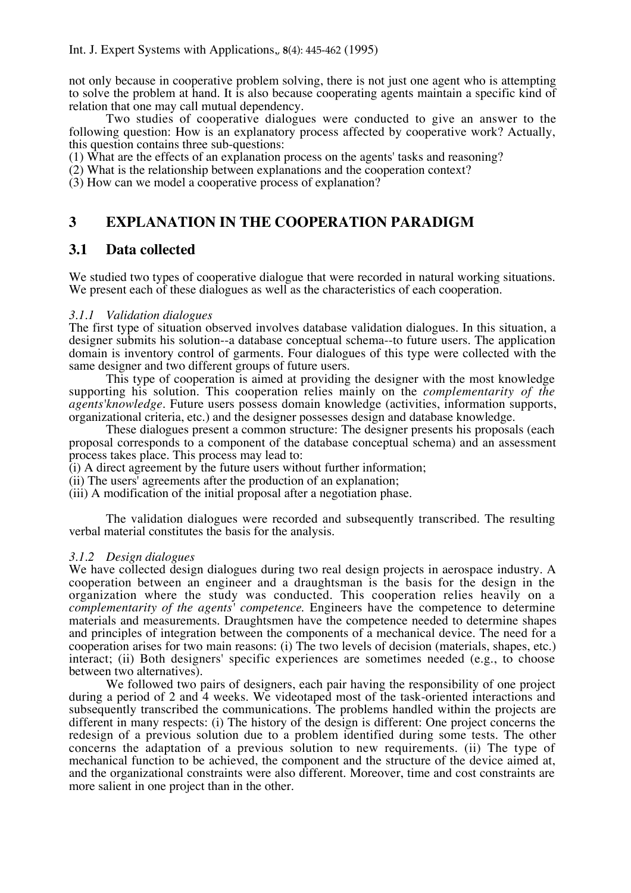not only because in cooperative problem solving, there is not just one agent who is attempting to solve the problem at hand. It is also because cooperating agents maintain a specific kind of relation that one may call mutual dependency.

Two studies of cooperative dialogues were conducted to give an answer to the following question: How is an explanatory process affected by cooperative work? Actually, this question contains three sub-questions:

(1) What are the effects of an explanation process on the agents' tasks and reasoning?

(2) What is the relationship between explanations and the cooperation context?

(3) How can we model a cooperative process of explanation?

# **3 EXPLANATION IN THE COOPERATION PARADIGM**

## **3.1 Data collected**

We studied two types of cooperative dialogue that were recorded in natural working situations. We present each of these dialogues as well as the characteristics of each cooperation.

## *3.1.1 Validation dialogues*

The first type of situation observed involves database validation dialogues. In this situation, a designer submits his solution--a database conceptual schema--to future users. The application domain is inventory control of garments. Four dialogues of this type were collected with the same designer and two different groups of future users.

This type of cooperation is aimed at providing the designer with the most knowledge supporting his solution. This cooperation relies mainly on the *complementarity of the agents'knowledge*. Future users possess domain knowledge (activities, information supports, organizational criteria, etc.) and the designer possesses design and database knowledge.

These dialogues present a common structure: The designer presents his proposals (each proposal corresponds to a component of the database conceptual schema) and an assessment process takes place. This process may lead to:

(i) A direct agreement by the future users without further information;

(ii) The users' agreements after the production of an explanation;

(iii) A modification of the initial proposal after a negotiation phase.

The validation dialogues were recorded and subsequently transcribed. The resulting verbal material constitutes the basis for the analysis.

## *3.1.2 Design dialogues*

We have collected design dialogues during two real design projects in aerospace industry. A cooperation between an engineer and a draughtsman is the basis for the design in the organization where the study was conducted. This cooperation relies heavily on a *complementarity of the agents' competence*. Engineers have the competence to determine materials and measurements. Draughtsmen have the competence needed to determine shapes and principles of integration between the components of a mechanical device. The need for a cooperation arises for two main reasons: (i) The two levels of decision (materials, shapes, etc.) interact; (ii) Both designers' specific experiences are sometimes needed (e.g., to choose between two alternatives).

We followed two pairs of designers, each pair having the responsibility of one project during a period of 2 and 4 weeks. We videotaped most of the task-oriented interactions and subsequently transcribed the communications. The problems handled within the projects are different in many respects: (i) The history of the design is different: One project concerns the redesign of a previous solution due to a problem identified during some tests. The other concerns the adaptation of a previous solution to new requirements. (ii) The type of mechanical function to be achieved, the component and the structure of the device aimed at, and the organizational constraints were also different. Moreover, time and cost constraints are more salient in one project than in the other.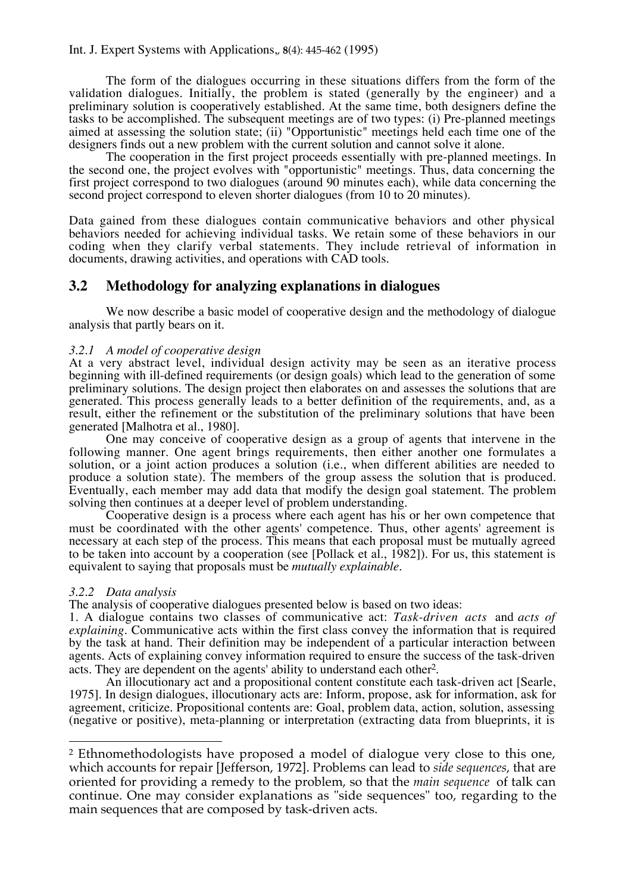The form of the dialogues occurring in these situations differs from the form of the validation dialogues. Initially, the problem is stated (generally by the engineer) and a preliminary solution is cooperatively established. At the same time, both designers define the tasks to be accomplished. The subsequent meetings are of two types: (i) Pre-planned meetings aimed at assessing the solution state; (ii) "Opportunistic" meetings held each time one of the designers finds out a new problem with the current solution and cannot solve it alone.

The cooperation in the first project proceeds essentially with pre-planned meetings. In the second one, the project evolves with "opportunistic" meetings. Thus, data concerning the first project correspond to two dialogues (around 90 minutes each), while data concerning the second project correspond to eleven shorter dialogues (from 10 to 20 minutes).

Data gained from these dialogues contain communicative behaviors and other physical behaviors needed for achieving individual tasks. We retain some of these behaviors in our coding when they clarify verbal statements. They include retrieval of information in documents, drawing activities, and operations with CAD tools.

## **3.2 Methodology for analyzing explanations in dialogues**

We now describe a basic model of cooperative design and the methodology of dialogue analysis that partly bears on it.

## *3.2.1 A model of cooperative design*

At a very abstract level, individual design activity may be seen as an iterative process beginning with ill-defined requirements (or design goals) which lead to the generation of some preliminary solutions. The design project then elaborates on and assesses the solutions that are generated. This process generally leads to a better definition of the requirements, and, as a result, either the refinement or the substitution of the preliminary solutions that have been generated [Malhotra et al., 1980].

One may conceive of cooperative design as a group of agents that intervene in the following manner. One agent brings requirements, then either another one formulates a solution, or a joint action produces a solution (i.e., when different abilities are needed to produce a solution state). The members of the group assess the solution that is produced. Eventually, each member may add data that modify the design goal statement. The problem solving then continues at a deeper level of problem understanding.

Cooperative design is a process where each agent has his or her own competence that must be coordinated with the other agents' competence. Thus, other agents' agreement is necessary at each step of the process. This means that each proposal must be mutually agreed to be taken into account by a cooperation (see [Pollack et al., 1982]). For us, this statement is equivalent to saying that proposals must be *mutually explainable*.

## *3.2.2 Data analysis*

 $\overline{a}$ 

The analysis of cooperative dialogues presented below is based on two ideas:

1. A dialogue contains two classes of communicative act: *Task-driven acts* and *acts of explaining*. Communicative acts within the first class convey the information that is required by the task at hand. Their definition may be independent of a particular interaction between agents. Acts of explaining convey information required to ensure the success of the task-driven acts. They are dependent on the agents' ability to understand each other2.

An illocutionary act and a propositional content constitute each task-driven act [Searle, 1975]. In design dialogues, illocutionary acts are: Inform, propose, ask for information, ask for agreement, criticize. Propositional contents are: Goal, problem data, action, solution, assessing (negative or positive), meta-planning or interpretation (extracting data from blueprints, it is

<sup>2</sup> Ethnomethodologists have proposed a model of dialogue very close to this one, which accounts for repair [Jefferson, 1972]. Problems can lead to *side sequences*, that are oriented for providing a remedy to the problem, so that the *main sequence* of talk can continue. One may consider explanations as "side sequences" too, regarding to the main sequences that are composed by task-driven acts.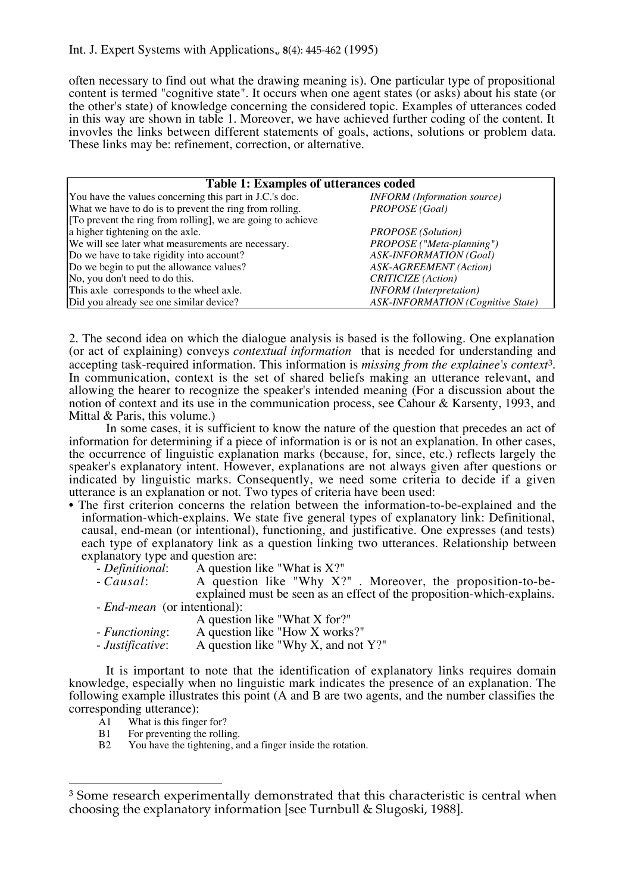often necessary to find out what the drawing meaning is). One particular type of propositional content is termed "cognitive state". It occurs when one agent states (or asks) about his state (or the other's state) of knowledge concerning the considered topic. Examples of utterances coded in this way are shown in table 1. Moreover, we have achieved further coding of the content. It invovles the links between different statements of goals, actions, solutions or problem data. These links may be: refinement, correction, or alternative.

| <b>Table 1: Examples of utterances coded</b>                |                                          |  |  |
|-------------------------------------------------------------|------------------------------------------|--|--|
| You have the values concerning this part in J.C.'s doc.     | <b>INFORM</b> (Information source)       |  |  |
| What we have to do is to prevent the ring from rolling.     | PROPOSE (Goal)                           |  |  |
| [To prevent the ring from rolling], we are going to achieve |                                          |  |  |
| a higher tightening on the axle.                            | <b>PROPOSE</b> (Solution)                |  |  |
| We will see later what measurements are necessary.          | PROPOSE ("Meta-planning")                |  |  |
| Do we have to take rigidity into account?                   | <b>ASK-INFORMATION</b> (Goal)            |  |  |
| Do we begin to put the allowance values?                    | <b>ASK-AGREEMENT</b> (Action)            |  |  |
| No, you don't need to do this.                              | <b>CRITICIZE</b> (Action)                |  |  |
| This axle corresponds to the wheel axle.                    | <b>INFORM</b> (Interpretation)           |  |  |
| Did you already see one similar device?                     | <b>ASK-INFORMATION</b> (Cognitive State) |  |  |

2. The second idea on which the dialogue analysis is based is the following. One explanation (or act of explaining) conveys *contextual information* that is needed for understanding and accepting task-required information. This information is *missing from the explainee's context*3. In communication, context is the set of shared beliefs making an utterance relevant, and allowing the hearer to recognize the speaker's intended meaning (For a discussion about the notion of context and its use in the communication process, see Cahour & Karsenty, 1993, and Mittal & Paris, this volume.)

In some cases, it is sufficient to know the nature of the question that precedes an act of information for determining if a piece of information is or is not an explanation. In other cases, the occurrence of linguistic explanation marks (because, for, since, etc.) reflects largely the speaker's explanatory intent. However, explanations are not always given after questions or indicated by linguistic marks. Consequently, we need some criteria to decide if a given utterance is an explanation or not. Two types of criteria have been used:

- The first criterion concerns the relation between the information-to-be-explained and the information-which-explains. We state five general types of explanatory link: Definitional, causal, end-mean (or intentional), functioning, and justificative. One expresses (and tests) each type of explanatory link as a question linking two utterances. Relationship between explanatory type and question are:
	-
	- explanatory type and a question like "What is X?"<br>- *Causal*: A question like "Why X?" . Moreover, the proposition-to-beexplained must be seen as an effect of the proposition-which-explains. - *End-mean* (or intentional):

|                  | A question like "What X for?"       |
|------------------|-------------------------------------|
| - Functioning:   | A question like "How X works?"      |
| - Justificative: | A question like "Why X, and not Y?" |

It is important to note that the identification of explanatory links requires domain knowledge, especially when no linguistic mark indicates the presence of an explanation. The following example illustrates this point (A and B are two agents, and the number classifies the corresponding utterance):<br>Al What is this finger

What is this finger for?

 $\overline{a}$ 

- B1 For preventing the rolling.<br>B2 You have the tightening, a
- You have the tightening, and a finger inside the rotation.

<sup>3</sup> Some research experimentally demonstrated that this characteristic is central when choosing the explanatory information [see Turnbull & Slugoski, 1988].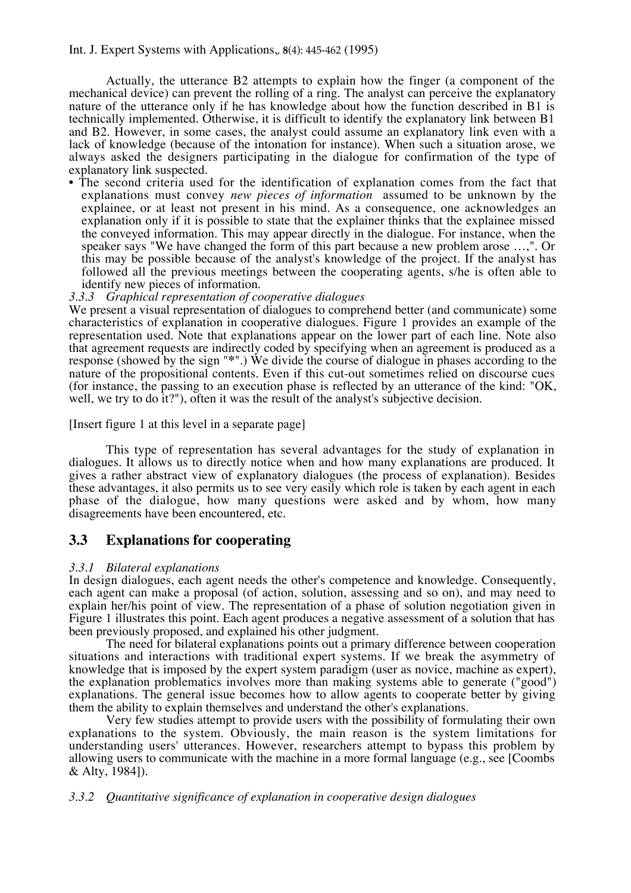Actually, the utterance B2 attempts to explain how the finger (a component of the mechanical device) can prevent the rolling of a ring. The analyst can perceive the explanatory nature of the utterance only if he has knowledge about how the function described in B1 is technically implemented. Otherwise, it is difficult to identify the explanatory link between B1 and B2. However, in some cases, the analyst could assume an explanatory link even with a lack of knowledge (because of the intonation for instance). When such a situation arose, we always asked the designers participating in the dialogue for confirmation of the type of explanatory link suspected.

• The second criteria used for the identification of explanation comes from the fact that explanations must convey *new pieces of information* assumed to be unknown by the explainee, or at least not present in his mind. As a consequence, one acknowledges an explanation only if it is possible to state that the explainer thinks that the explainee missed the conveyed information. This may appear directly in the dialogue. For instance, when the speaker says "We have changed the form of this part because a new problem arose …,". Or this may be possible because of the analyst's knowledge of the project. If the analyst has followed all the previous meetings between the cooperating agents, s/he is often able to identify new pieces of information.

*3.3.3 Graphical representation of cooperative dialogues*

We present a visual representation of dialogues to comprehend better (and communicate) some characteristics of explanation in cooperative dialogues. Figure 1 provides an example of the representation used. Note that explanations appear on the lower part of each line. Note also that agreement requests are indirectly coded by specifying when an agreement is produced as a response (showed by the sign "**\***".) We divide the course of dialogue in phases according to the nature of the propositional contents. Even if this cut-out sometimes relied on discourse cues (for instance, the passing to an execution phase is reflected by an utterance of the kind: "OK, well, we try to do it?"), often it was the result of the analyst's subjective decision.

[Insert figure 1 at this level in a separate page]

This type of representation has several advantages for the study of explanation in dialogues. It allows us to directly notice when and how many explanations are produced. It gives a rather abstract view of explanatory dialogues (the process of explanation). Besides these advantages, it also permits us to see very easily which role is taken by each agent in each phase of the dialogue, how many questions were asked and by whom, how many disagreements have been encountered, etc.

## **3.3 Explanations for cooperating**

## *3.3.1 Bilateral explanations*

In design dialogues, each agent needs the other's competence and knowledge. Consequently, each agent can make a proposal (of action, solution, assessing and so on), and may need to explain her/his point of view. The representation of a phase of solution negotiation given in Figure 1 illustrates this point. Each agent produces a negative assessment of a solution that has been previously proposed, and explained his other judgment.

The need for bilateral explanations points out a primary difference between cooperation situations and interactions with traditional expert systems. If we break the asymmetry of knowledge that is imposed by the expert system paradigm (user as novice, machine as expert), the explanation problematics involves more than making systems able to generate ("good") explanations. The general issue becomes how to allow agents to cooperate better by giving them the ability to explain themselves and understand the other's explanations.

Very few studies attempt to provide users with the possibility of formulating their own explanations to the system. Obviously, the main reason is the system limitations for understanding users' utterances. However, researchers attempt to bypass this problem by allowing users to communicate with the machine in a more formal language (e.g., see [Coombs & Alty, 1984]).

## *3.3.2 Quantitative significance of explanation in cooperative design dialogues*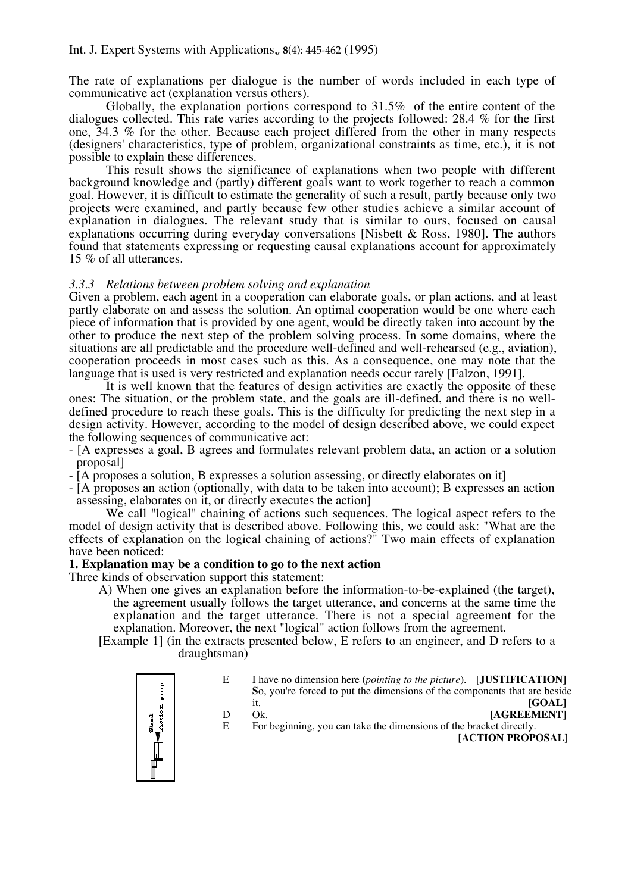The rate of explanations per dialogue is the number of words included in each type of communicative act (explanation versus others).

Globally, the explanation portions correspond to 31.5*%* of the entire content of the dialogues collected. This rate varies according to the projects followed: 28.4 % for the first one, 34.3 % for the other. Because each project differed from the other in many respects (designers' characteristics, type of problem, organizational constraints as time, etc.), it is not possible to explain these differences.

This result shows the significance of explanations when two people with different background knowledge and (partly) different goals want to work together to reach a common goal. However, it is difficult to estimate the generality of such a result, partly because only two projects were examined, and partly because few other studies achieve a similar account of explanation in dialogues. The relevant study that is similar to ours, focused on causal explanations occurring during everyday conversations [Nisbett & Ross, 1980]. The authors found that statements expressing or requesting causal explanations account for approximately 15 % of all utterances.

## *3.3.3 Relations between problem solving and explanation*

Given a problem, each agent in a cooperation can elaborate goals, or plan actions, and at least partly elaborate on and assess the solution. An optimal cooperation would be one where each piece of information that is provided by one agent, would be directly taken into account by the other to produce the next step of the problem solving process. In some domains, where the situations are all predictable and the procedure well-defined and well-rehearsed (e.g., aviation), cooperation proceeds in most cases such as this. As a consequence, one may note that the language that is used is very restricted and explanation needs occur rarely [Falzon, 1991].

It is well known that the features of design activities are exactly the opposite of these ones: The situation, or the problem state, and the goals are ill-defined, and there is no welldefined procedure to reach these goals. This is the difficulty for predicting the next step in a design activity. However, according to the model of design described above, we could expect the following sequences of communicative act:

- [A expresses a goal, B agrees and formulates relevant problem data, an action or a solution proposal]
- [A proposes a solution, B expresses a solution assessing, or directly elaborates on it]
- [A proposes an action (optionally, with data to be taken into account); B expresses an action assessing, elaborates on it, or directly executes the action]

We call "logical" chaining of actions such sequences. The logical aspect refers to the model of design activity that is described above. Following this, we could ask: "What are the effects of explanation on the logical chaining of actions?" Two main effects of explanation have been noticed:

## **1. Explanation may be a condition to go to the next action**

Three kinds of observation support this statement:

- A) When one gives an explanation before the information-to-be-explained (the target), the agreement usually follows the target utterance, and concerns at the same time the explanation and the target utterance. There is not a special agreement for the explanation. Moreover, the next "logical" action follows from the agreement.
- [Example 1] (in the extracts presented below, E refers to an engineer, and D refers to a draughtsman)



| E | I have no dimension here (pointing to the picture). [JUSTIFICATION]       |               |
|---|---------------------------------------------------------------------------|---------------|
|   | So, you're forced to put the dimensions of the components that are beside |               |
|   |                                                                           | <b>IGOALI</b> |
|   |                                                                           |               |

- D Ok. [AGREEMENT]<br>E For beginning, you can take the dimensions of the bracket directly.
	- For beginning, you can take the dimensions of the bracket directly. **[ACTION PROPOSAL]**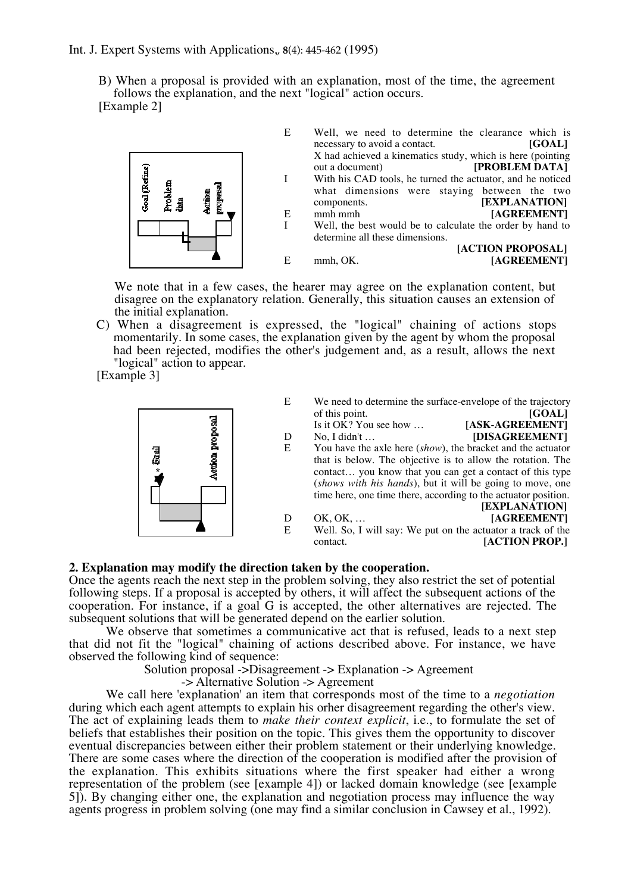B) When a proposal is provided with an explanation, most of the time, the agreement follows the explanation, and the next "logical" action occurs. [Example 2]



We note that in a few cases, the hearer may agree on the explanation content, but disagree on the explanatory relation. Generally, this situation causes an extension of the initial explanation.

C) When a disagreement is expressed, the "logical" chaining of actions stops momentarily. In some cases, the explanation given by the agent by whom the proposal had been rejected, modifies the other's judgement and, as a result, allows the next "logical" action to appear.

[Example 3]



| E | We need to determine the surface-envelope of the trajectory |        |
|---|-------------------------------------------------------------|--------|
|   | of this point.                                              | [GOAL] |

Is it OK? You see how ... **[ASK-AGREEMENT]**<br>No. I didn't ... **[DISAGREEMENT]** 

- D No, I didn't ... **[DISAGREEMENT]**<br>E You have the axle here *(show)*, the bracket and the actuator E You have the axle here (*show*), the bracket and the actuator that is below. The objective is to allow the rotation. The contact… you know that you can get a contact of this type (*shows with his hands*), but it will be going to move, one time here, one time there, according to the actuator position.
- **[EXPLANATION]** D OK, OK, ...<br>E Well. So. I will sav: We put on the actuator a track of the Well. So, I will say: We put on the actuator a track of the contact. **[ACTION PROP.]**

## **2. Explanation may modify the direction taken by the cooperation.**

Once the agents reach the next step in the problem solving, they also restrict the set of potential following steps. If a proposal is accepted by others, it will affect the subsequent actions of the cooperation. For instance, if a goal G is accepted, the other alternatives are rejected. The subsequent solutions that will be generated depend on the earlier solution.

We observe that sometimes a communicative act that is refused, leads to a next step that did not fit the "logical" chaining of actions described above. For instance, we have observed the following kind of sequence:

Solution proposal ->Disagreement -> Explanation -> Agreement

-> Alternative Solution -> Agreement

We call here 'explanation' an item that corresponds most of the time to a *negotiation* during which each agent attempts to explain his orher disagreement regarding the other's view. The act of explaining leads them to *make their context explicit*, i.e., to formulate the set of beliefs that establishes their position on the topic. This gives them the opportunity to discover eventual discrepancies between either their problem statement or their underlying knowledge. There are some cases where the direction of the cooperation is modified after the provision of the explanation. This exhibits situations where the first speaker had either a wrong representation of the problem (see [example 4]) or lacked domain knowledge (see [example 5]). By changing either one, the explanation and negotiation process may influence the way agents progress in problem solving (one may find a similar conclusion in Cawsey et al., 1992).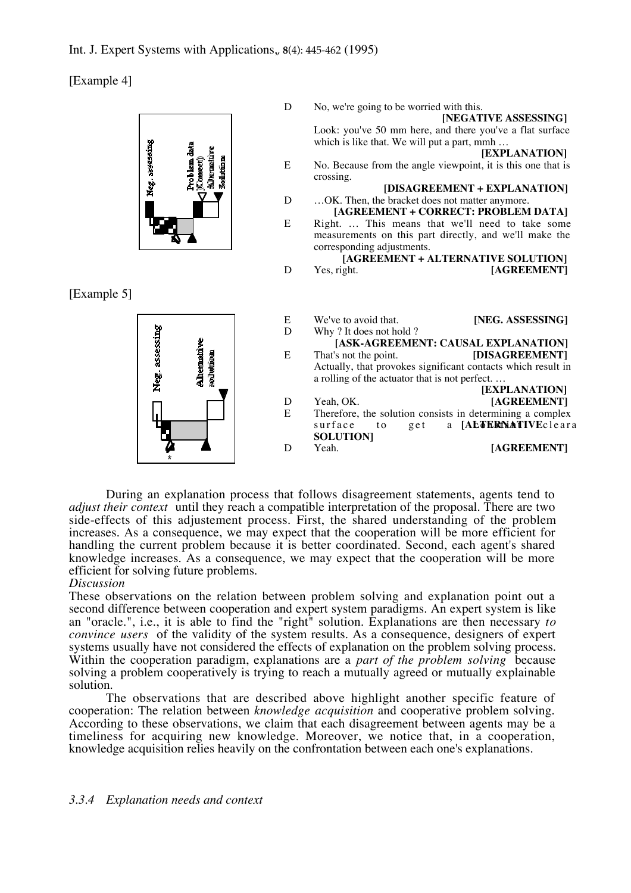[Example 4]



During an explanation process that follows disagreement statements, agents tend to *adjust their context* until they reach a compatible interpretation of the proposal. There are two side-effects of this adjustement process. First, the shared understanding of the problem increases. As a consequence, we may expect that the cooperation will be more efficient for handling the current problem because it is better coordinated. Second, each agent's shared knowledge increases. As a consequence, we may expect that the cooperation will be more efficient for solving future problems.

## *Discussion*

These observations on the relation between problem solving and explanation point out a second difference between cooperation and expert system paradigms. An expert system is like an "oracle.", i.e., it is able to find the "right" solution. Explanations are then necessary *to convince users* of the validity of the system results. As a consequence, designers of expert systems usually have not considered the effects of explanation on the problem solving process. Within the cooperation paradigm, explanations are a *part of the problem solving* because solving a problem cooperatively is trying to reach a mutually agreed or mutually explainable solution.

The observations that are described above highlight another specific feature of cooperation: The relation between *knowledge acquisition* and cooperative problem solving. According to these observations, we claim that each disagreement between agents may be a timeliness for acquiring new knowledge. Moreover, we notice that, in a cooperation, knowledge acquisition relies heavily on the confrontation between each one's explanations.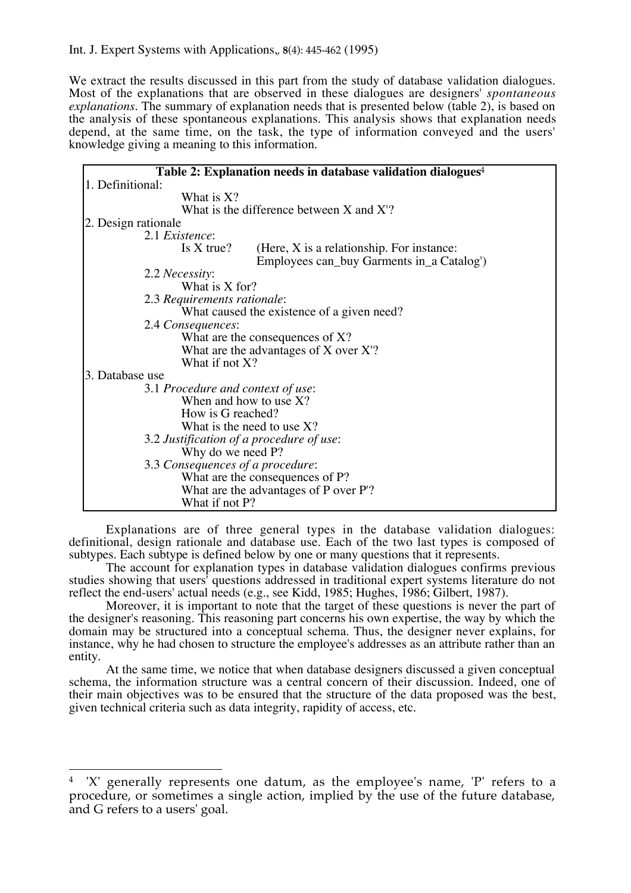We extract the results discussed in this part from the study of database validation dialogues. Most of the explanations that are observed in these dialogues are designers' *spontaneous explanations*. The summary of explanation needs that is presented below (table 2), is based on the analysis of these spontaneous explanations. This analysis shows that explanation needs depend, at the same time, on the task, the type of information conveyed and the users' knowledge giving a meaning to this information.

|                                                                | Table 2: Explanation needs in database validation dialogues <sup>4</sup>                 |  |  |
|----------------------------------------------------------------|------------------------------------------------------------------------------------------|--|--|
| 1. Definitional:                                               |                                                                                          |  |  |
| What is X?                                                     |                                                                                          |  |  |
|                                                                | What is the difference between $X$ and $X$ ?                                             |  |  |
|                                                                |                                                                                          |  |  |
| 2. Design rationale<br>2.1 Existence:                          |                                                                                          |  |  |
|                                                                |                                                                                          |  |  |
| Is $X$ true?                                                   | (Here, $X$ is a relationship. For instance:<br>Employees can_buy Garments in_a Catalog') |  |  |
| 2.2 <i>Necessity</i> :                                         |                                                                                          |  |  |
| What is X for?                                                 |                                                                                          |  |  |
| 2.3 Requirements rationale:                                    |                                                                                          |  |  |
|                                                                | What caused the existence of a given need?                                               |  |  |
| 2.4 Consequences:                                              |                                                                                          |  |  |
|                                                                | What are the consequences of $X$ ?                                                       |  |  |
|                                                                | What are the advantages of $X$ over $X$ ?                                                |  |  |
| What if not X?                                                 |                                                                                          |  |  |
| 3. Database use                                                |                                                                                          |  |  |
|                                                                |                                                                                          |  |  |
| 3.1 Procedure and context of use:<br>When and how to use $X$ ? |                                                                                          |  |  |
|                                                                |                                                                                          |  |  |
| How is G reached?                                              |                                                                                          |  |  |
| What is the need to use $X$ ?                                  |                                                                                          |  |  |
| 3.2 Justification of a procedure of use:                       |                                                                                          |  |  |
| Why do we need P?                                              |                                                                                          |  |  |
| 3.3 Consequences of a procedure:                               |                                                                                          |  |  |
| What are the consequences of P?                                |                                                                                          |  |  |
| What are the advantages of P over P'?                          |                                                                                          |  |  |
| What if not P?                                                 |                                                                                          |  |  |

Explanations are of three general types in the database validation dialogues: definitional, design rationale and database use. Each of the two last types is composed of subtypes. Each subtype is defined below by one or many questions that it represents.

The account for explanation types in database validation dialogues confirms previous studies showing that users' questions addressed in traditional expert systems literature do not reflect the end-users' actual needs (e.g., see Kidd, 1985; Hughes, 1986; Gilbert, 1987).

Moreover, it is important to note that the target of these questions is never the part of the designer's reasoning. This reasoning part concerns his own expertise, the way by which the domain may be structured into a conceptual schema. Thus, the designer never explains, for instance, why he had chosen to structure the employee's addresses as an attribute rather than an entity.

At the same time, we notice that when database designers discussed a given conceptual schema, the information structure was a central concern of their discussion. Indeed, one of their main objectives was to be ensured that the structure of the data proposed was the best, given technical criteria such as data integrity, rapidity of access, etc.

 $\overline{a}$ 4 'X' generally represents one datum, as the employee's name, 'P' refers to a procedure, or sometimes a single action, implied by the use of the future database, and G refers to a users' goal.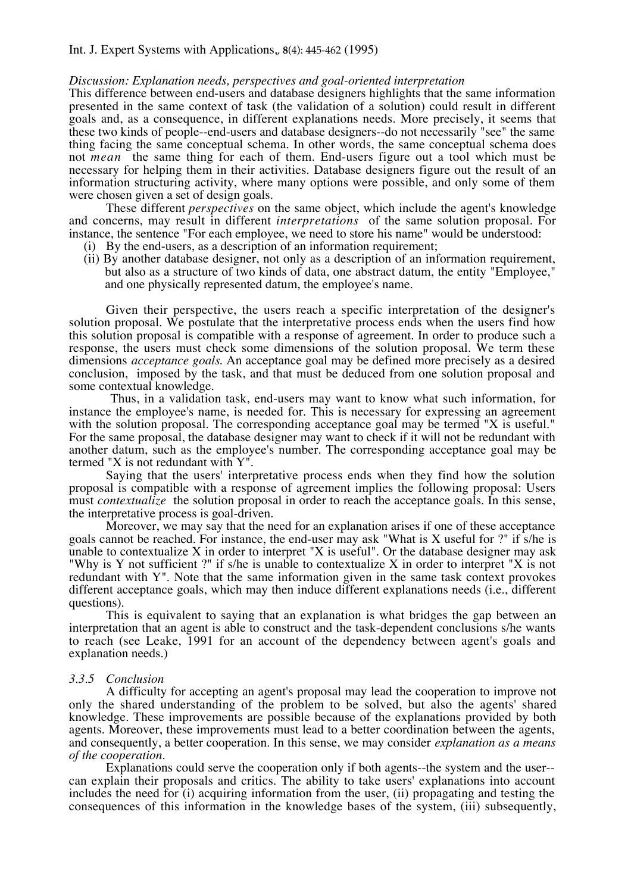## *Discussion: Explanation needs, perspectives and goal-oriented interpretation*

This difference between end-users and database designers highlights that the same information presented in the same context of task (the validation of a solution) could result in different goals and, as a consequence, in different explanations needs. More precisely, it seems that these two kinds of people--end-users and database designers--do not necessarily "see" the same thing facing the same conceptual schema. In other words, the same conceptual schema does not *mean* the same thing for each of them. End-users figure out a tool which must be necessary for helping them in their activities. Database designers figure out the result of an information structuring activity, where many options were possible, and only some of them were chosen given a set of design goals.

These different *perspectives* on the same object, which include the agent's knowledge and concerns, may result in different *interpretations* of the same solution proposal. For instance, the sentence "For each employee, we need to store his name" would be understood:

- (i) By the end-users, as a description of an information requirement;
- (ii) By another database designer, not only as a description of an information requirement, but also as a structure of two kinds of data, one abstract datum, the entity "Employee," and one physically represented datum, the employee's name.

Given their perspective, the users reach a specific interpretation of the designer's solution proposal. We postulate that the interpretative process ends when the users find how this solution proposal is compatible with a response of agreement. In order to produce such a response, the users must check some dimensions of the solution proposal. We term these dimensions *acceptance goals*. An acceptance goal may be defined more precisely as a desired conclusion, imposed by the task, and that must be deduced from one solution proposal and some contextual knowledge.

Thus, in a validation task, end-users may want to know what such information, for instance the employee's name, is needed for. This is necessary for expressing an agreement with the solution proposal. The corresponding acceptance goal may be termed "X is useful." For the same proposal, the database designer may want to check if it will not be redundant with another datum, such as the employee's number. The corresponding acceptance goal may be termed "X is not redundant with Y".

Saying that the users' interpretative process ends when they find how the solution proposal is compatible with a response of agreement implies the following proposal: Users must *contextualize* the solution proposal in order to reach the acceptance goals. In this sense, the interpretative process is goal-driven.

Moreover, we may say that the need for an explanation arises if one of these acceptance goals cannot be reached. For instance, the end-user may ask "What is X useful for ?" if s/he is unable to contextualize  $X$  in order to interpret " $X$  is useful". Or the database designer may ask "Why is Y not sufficient ?" if s/he is unable to contextualize X in order to interpret "X is not redundant with Y". Note that the same information given in the same task context provokes different acceptance goals, which may then induce different explanations needs (i.e., different questions).

This is equivalent to saying that an explanation is what bridges the gap between an interpretation that an agent is able to construct and the task-dependent conclusions s/he wants to reach (see Leake, 1991 for an account of the dependency between agent's goals and explanation needs.)

#### *3.3.5 Conclusion*

A difficulty for accepting an agent's proposal may lead the cooperation to improve not only the shared understanding of the problem to be solved, but also the agents' shared knowledge. These improvements are possible because of the explanations provided by both agents. Moreover, these improvements must lead to a better coordination between the agents, and consequently, a better cooperation. In this sense, we may consider *explanation as a means of the cooperation*.

Explanations could serve the cooperation only if both agents--the system and the user- can explain their proposals and critics. The ability to take users' explanations into account includes the need for (i) acquiring information from the user, (ii) propagating and testing the consequences of this information in the knowledge bases of the system, (iii) subsequently,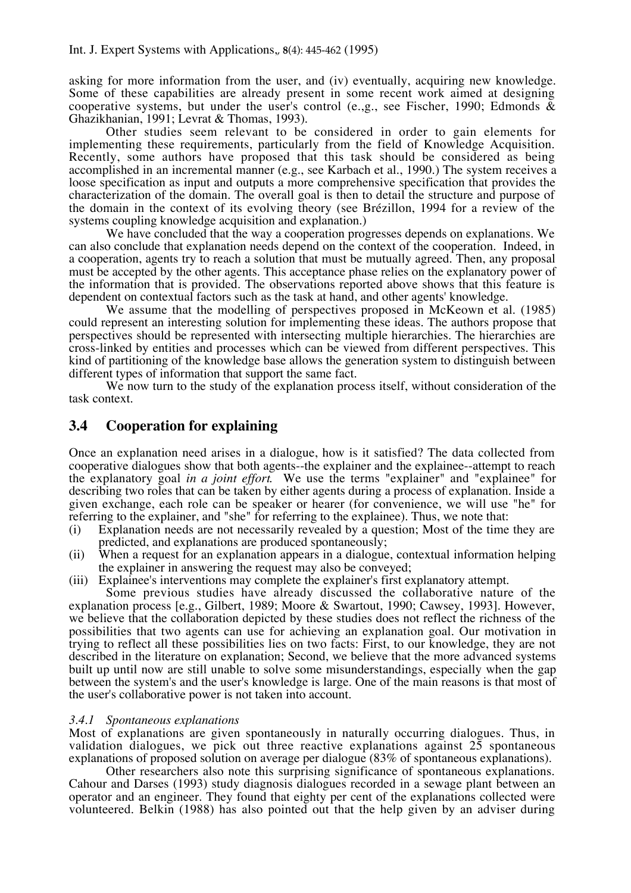asking for more information from the user, and (iv) eventually, acquiring new knowledge. Some of these capabilities are already present in some recent work aimed at designing cooperative systems, but under the user's control (e.g., see Fischer, 1990; Edmonds  $\&$ Ghazikhanian, 1991; Levrat & Thomas, 1993).

Other studies seem relevant to be considered in order to gain elements for implementing these requirements, particularly from the field of Knowledge Acquisition. Recently, some authors have proposed that this task should be considered as being accomplished in an incremental manner (e.g., see Karbach et al., 1990.) The system receives a loose specification as input and outputs a more comprehensive specification that provides the characterization of the domain. The overall goal is then to detail the structure and purpose of the domain in the context of its evolving theory (see Brézillon, 1994 for a review of the systems coupling knowledge acquisition and explanation.)

We have concluded that the way a cooperation progresses depends on explanations. We can also conclude that explanation needs depend on the context of the cooperation. Indeed, in a cooperation, agents try to reach a solution that must be mutually agreed. Then, any proposal must be accepted by the other agents. This acceptance phase relies on the explanatory power of the information that is provided. The observations reported above shows that this feature is dependent on contextual factors such as the task at hand, and other agents' knowledge.

We assume that the modelling of perspectives proposed in McKeown et al. (1985) could represent an interesting solution for implementing these ideas. The authors propose that perspectives should be represented with intersecting multiple hierarchies. The hierarchies are cross-linked by entities and processes which can be viewed from different perspectives. This kind of partitioning of the knowledge base allows the generation system to distinguish between different types of information that support the same fact.

We now turn to the study of the explanation process itself, without consideration of the task context.

## **3.4 Cooperation for explaining**

Once an explanation need arises in a dialogue, how is it satisfied? The data collected from cooperative dialogues show that both agents--the explainer and the explainee--attempt to reach the explanatory goal *in a joint effort*. We use the terms "explainer" and "explainee" for describing two roles that can be taken by either agents during a process of explanation. Inside a given exchange, each role can be speaker or hearer (for convenience, we will use "he" for referring to the explainer, and "she" for referring to the explainee). Thus, we note that:

- (i) Explanation needs are not necessarily revealed by a question; Most of the time they are predicted, and explanations are produced spontaneously;
- (ii) When a request for an explanation appears in a dialogue, contextual information helping the explainer in answering the request may also be conveyed;
- (iii) Explainee's interventions may complete the explainer's first explanatory attempt.

Some previous studies have already discussed the collaborative nature of the explanation process [e.g., Gilbert, 1989; Moore & Swartout, 1990; Cawsey, 1993]. However, we believe that the collaboration depicted by these studies does not reflect the richness of the possibilities that two agents can use for achieving an explanation goal. Our motivation in trying to reflect all these possibilities lies on two facts: First, to our knowledge, they are not described in the literature on explanation; Second, we believe that the more advanced systems built up until now are still unable to solve some misunderstandings, especially when the gap between the system's and the user's knowledge is large. One of the main reasons is that most of the user's collaborative power is not taken into account.

#### *3.4.1 Spontaneous explanations*

Most of explanations are given spontaneously in naturally occurring dialogues. Thus, in validation dialogues, we pick out three reactive explanations against 25 spontaneous explanations of proposed solution on average per dialogue (83% of spontaneous explanations).

Other researchers also note this surprising significance of spontaneous explanations. Cahour and Darses (1993) study diagnosis dialogues recorded in a sewage plant between an operator and an engineer. They found that eighty per cent of the explanations collected were volunteered. Belkin (1988) has also pointed out that the help given by an adviser during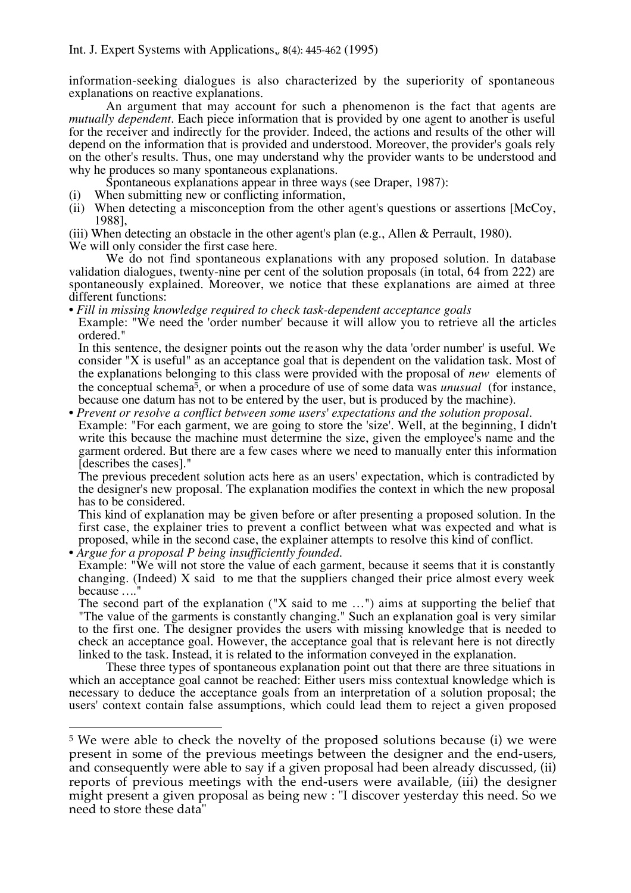information-seeking dialogues is also characterized by the superiority of spontaneous explanations on reactive explanations.

An argument that may account for such a phenomenon is the fact that agents are *mutually dependent*. Each piece information that is provided by one agent to another is useful for the receiver and indirectly for the provider. Indeed, the actions and results of the other will depend on the information that is provided and understood. Moreover, the provider's goals rely on the other's results. Thus, one may understand why the provider wants to be understood and why he produces so many spontaneous explanations.

Spontaneous explanations appear in three ways (see Draper, 1987):

- (i) When submitting new or conflicting information,
- (ii) When detecting a misconception from the other agent's questions or assertions [McCoy, 1988],

(iii) When detecting an obstacle in the other agent's plan (e.g., Allen & Perrault, 1980). We will only consider the first case here.

We do not find spontaneous explanations with any proposed solution. In database validation dialogues, twenty-nine per cent of the solution proposals (in total, 64 from 222) are spontaneously explained. Moreover, we notice that these explanations are aimed at three different functions:

• *Fill in missing knowledge required to check task-dependent acceptance goals*

Example: "We need the 'order number' because it will allow you to retrieve all the articles ordered."

In this sentence, the designer points out the reason why the data 'order number' is useful. We consider "X is useful" as an acceptance goal that is dependent on the validation task. Most of the explanations belonging to this class were provided with the proposal of *new* elements of the conceptual schema5, or when a procedure of use of some data was *unusual* (for instance, because one datum has not to be entered by the user, but is produced by the machine).

• *Prevent or resolve a conflict between some users' expectations and the solution proposal.* Example: "For each garment, we are going to store the 'size'. Well, at the beginning, I didn't write this because the machine must determine the size, given the employee's name and the garment ordered. But there are a few cases where we need to manually enter this information [describes the cases]."

The previous precedent solution acts here as an users' expectation, which is contradicted by the designer's new proposal. The explanation modifies the context in which the new proposal has to be considered.

This kind of explanation may be given before or after presenting a proposed solution. In the first case, the explainer tries to prevent a conflict between what was expected and what is proposed, while in the second case, the explainer attempts to resolve this kind of conflict.

• *Argue for a proposal P being insufficiently founded.*

Example: "We will not store the value of each garment, because it seems that it is constantly changing. (Indeed) X said to me that the suppliers changed their price almost every week because *…*."

The second part of the explanation ("X said to me …") aims at supporting the belief that "The value of the garments is constantly changing." Such an explanation goal is very similar to the first one. The designer provides the users with missing knowledge that is needed to check an acceptance goal. However, the acceptance goal that is relevant here is not directly linked to the task. Instead, it is related to the information conveyed in the explanation.

These three types of spontaneous explanation point out that there are three situations in which an acceptance goal cannot be reached: Either users miss contextual knowledge which is necessary to deduce the acceptance goals from an interpretation of a solution proposal; the users' context contain false assumptions, which could lead them to reject a given proposed

 $\overline{a}$ <sup>5</sup> We were able to check the novelty of the proposed solutions because (i) we were present in some of the previous meetings between the designer and the end-users, and consequently were able to say if a given proposal had been already discussed, (ii) reports of previous meetings with the end-users were available, (iii) the designer might present a given proposal as being new : "I discover yesterday this need. So we need to store these data"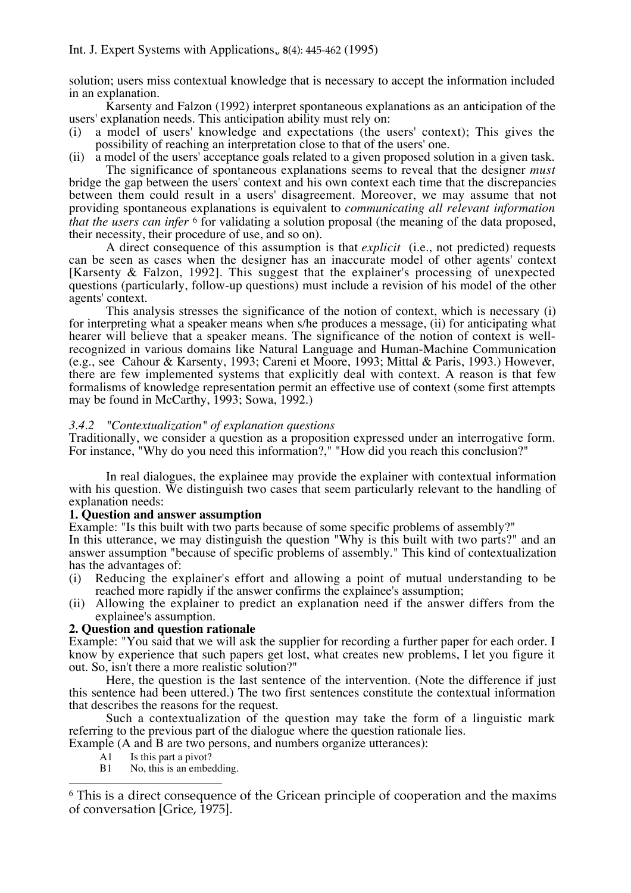solution; users miss contextual knowledge that is necessary to accept the information included in an explanation.

Karsenty and Falzon (1992) interpret spontaneous explanations as an anticipation of the users' explanation needs. This anticipation ability must rely on:

- a model of users' knowledge and expectations (the users' context); This gives the possibility of reaching an interpretation close to that of the users' one.
- (ii) a model of the users' acceptance goals related to a given proposed solution in a given task. The significance of spontaneous explanations seems to reveal that the designer *must*

bridge the gap between the users' context and his own context each time that the discrepancies between them could result in a users' disagreement. Moreover, we may assume that not providing spontaneous explanations is equivalent to *communicating all relevant information that the users can infer* <sup>6</sup> for validating a solution proposal (the meaning of the data proposed, their necessity, their procedure of use, and so on).

A direct consequence of this assumption is that *explicit* (i.e., not predicted) requests can be seen as cases when the designer has an inaccurate model of other agents' context [Karsenty & Falzon, 1992]. This suggest that the explainer's processing of unexpected questions (particularly, follow-up questions) must include a revision of his model of the other agents' context.

This analysis stresses the significance of the notion of context, which is necessary (i) for interpreting what a speaker means when s/he produces a message, (ii) for anticipating what hearer will believe that a speaker means. The significance of the notion of context is wellrecognized in various domains like Natural Language and Human-Machine Communication (e.g., see Cahour & Karsenty, 1993; Careni et Moore, 1993; Mittal & Paris, 1993.) However, there are few implemented systems that explicitly deal with context. A reason is that few formalisms of knowledge representation permit an effective use of context (some first attempts may be found in McCarthy, 1993; Sowa, 1992.)

## *3.4.2 "Contextualization" of explanation questions*

Traditionally, we consider a question as a proposition expressed under an interrogative form. For instance, "Why do you need this information?," "How did you reach this conclusion?"

In real dialogues, the explainee may provide the explainer with contextual information with his question. We distinguish two cases that seem particularly relevant to the handling of explanation needs:

## **1. Question and answer assumption**

Example: "Is this built with two parts because of some specific problems of assembly?" In this utterance, we may distinguish the question "Why is this built with two parts?" and an answer assumption "because of specific problems of assembly." This kind of contextualization has the advantages of:

- (i) Reducing the explainer's effort and allowing a point of mutual understanding to be reached more rapidly if the answer confirms the explainee's assumption;
- (ii) Allowing the explainer to predict an explanation need if the answer differs from the explainee's assumption.

## **2. Question and question rationale**

Example: "You said that we will ask the supplier for recording a further paper for each order. I know by experience that such papers get lost, what creates new problems, I let you figure it out. So, isn't there a more realistic solution?"

Here, the question is the last sentence of the intervention. (Note the difference if just this sentence had been uttered.) The two first sentences constitute the contextual information that describes the reasons for the request.

Such a contextualization of the question may take the form of a linguistic mark referring to the previous part of the dialogue where the question rationale lies.

Example (A and B are two persons, and numbers organize utterances):

A1 Is this part a pivot?

 $\overline{a}$ 

B1 No, this is an embedding.

<sup>6</sup> This is a direct consequence of the Gricean principle of cooperation and the maxims of conversation [Grice, 1975].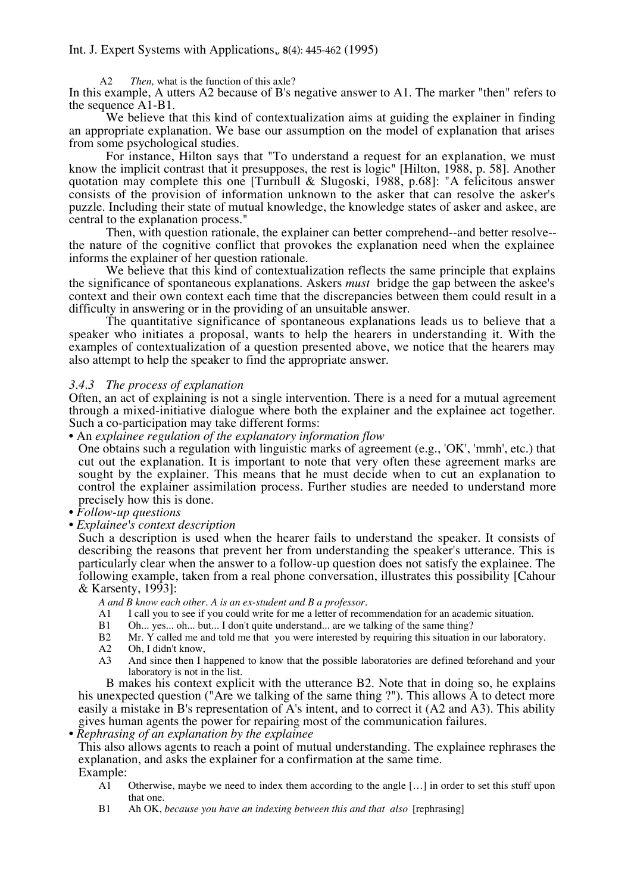A2 *Then,* what is the function of this axle?

In this example, A utters A2 because of B's negative answer to A1. The marker "then" refers to the sequence A1-B1.

We believe that this kind of contextualization aims at guiding the explainer in finding an appropriate explanation. We base our assumption on the model of explanation that arises from some psychological studies.

For instance, Hilton says that "To understand a request for an explanation, we must know the implicit contrast that it presupposes, the rest is logic" [Hilton, 1988, p. 58]. Another quotation may complete this one [Turnbull & Slugoski, 1988, p.68]: "A felicitous answer consists of the provision of information unknown to the asker that can resolve the asker's puzzle. Including their state of mutual knowledge, the knowledge states of asker and askee, are central to the explanation process."

Then, with question rationale, the explainer can better comprehend--and better resolve- the nature of the cognitive conflict that provokes the explanation need when the explainee informs the explainer of her question rationale.

We believe that this kind of contextualization reflects the same principle that explains the significance of spontaneous explanations. Askers *must* bridge the gap between the askee's context and their own context each time that the discrepancies between them could result in a difficulty in answering or in the providing of an unsuitable answer.

The quantitative significance of spontaneous explanations leads us to believe that a speaker who initiates a proposal, wants to help the hearers in understanding it. With the examples of contextualization of a question presented above, we notice that the hearers may also attempt to help the speaker to find the appropriate answer.

## *3.4.3 The process of explanation*

Often, an act of explaining is not a single intervention. There is a need for a mutual agreement through a mixed-initiative dialogue where both the explainer and the explainee act together. Such a co-participation may take different forms:

## • An *explainee regulation of the explanatory information flow*

One obtains such a regulation with linguistic marks of agreement (e.g., 'OK', 'mmh', etc.) that cut out the explanation. It is important to note that very often these agreement marks are sought by the explainer. This means that he must decide when to cut an explanation to control the explainer assimilation process. Further studies are needed to understand more precisely how this is done.

- *Follow-up questions*
- *Explainee's context description*

Such a description is used when the hearer fails to understand the speaker. It consists of describing the reasons that prevent her from understanding the speaker's utterance. This is particularly clear when the answer to a follow-up question does not satisfy the explainee. The following example, taken from a real phone conversation, illustrates this possibility [Cahour & Karsenty, 1993]:

*A and B know each other. A is an ex-student and B a professor.*

- A1 I call you to see if you could write for me a letter of recommendation for an academic situation.
- B1 Oh... yes... oh... but... I don't quite understand... are we talking of the same thing?
- B2 Mr. Y called me and told me that you were interested by requiring this situation in our laboratory.
- A2 Oh, I didn't know,
- A3 And since then I happened to know that the possible laboratories are defined beforehand and your laboratory is not in the list.

B makes his context explicit with the utterance B2. Note that in doing so, he explains his unexpected question ("Are we talking of the same thing ?"). This allows A to detect more easily a mistake in B's representation of A's intent, and to correct it (A2 and A3). This ability gives human agents the power for repairing most of the communication failures.

• *Rephrasing of an explanation by the explainee*

This also allows agents to reach a point of mutual understanding. The explainee rephrases the explanation, and asks the explainer for a confirmation at the same time. Example:

- A1 Otherwise, maybe we need to index them according to the angle […] in order to set this stuff upon that one.
- B1 Ah OK, *because you have an indexing between this and that also* [rephrasing]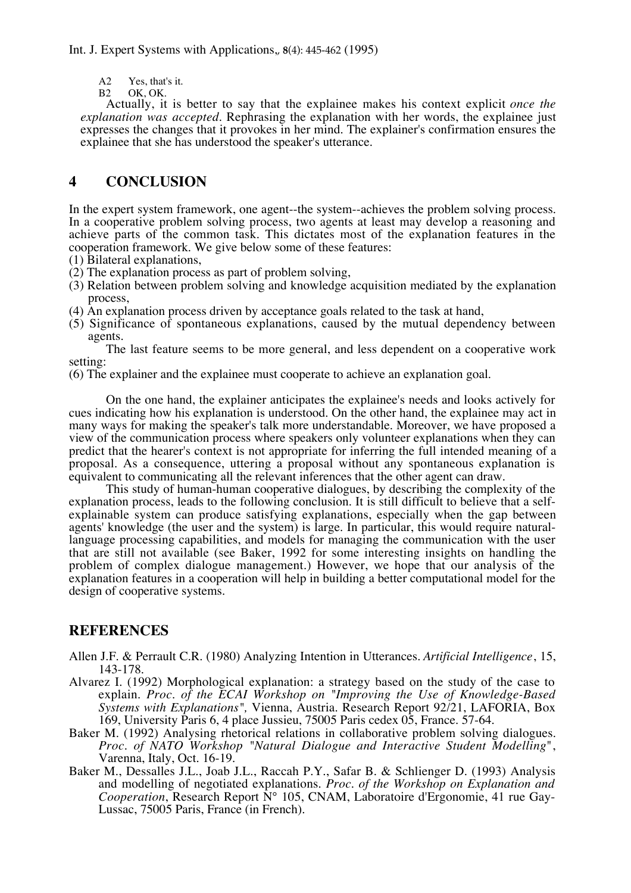A2 Yes, that's it.<br>B2 OK, OK.

OK, OK.

Actually, it is better to say that the explainee makes his context explicit *once the explanation was accepted*. Rephrasing the explanation with her words, the explainee just expresses the changes that it provokes in her mind. The explainer's confirmation ensures the explainee that she has understood the speaker's utterance.

# **4 CONCLUSION**

In the expert system framework, one agent--the system--achieves the problem solving process. In a cooperative problem solving process, two agents at least may develop a reasoning and achieve parts of the common task. This dictates most of the explanation features in the cooperation framework. We give below some of these features:

(1) Bilateral explanations,

- (2) The explanation process as part of problem solving,
- (3) Relation between problem solving and knowledge acquisition mediated by the explanation process,
- (4) An explanation process driven by acceptance goals related to the task at hand,
- (5) Significance of spontaneous explanations, caused by the mutual dependency between agents.

The last feature seems to be more general, and less dependent on a cooperative work setting:

(6) The explainer and the explainee must cooperate to achieve an explanation goal.

On the one hand, the explainer anticipates the explainee's needs and looks actively for cues indicating how his explanation is understood. On the other hand, the explainee may act in many ways for making the speaker's talk more understandable. Moreover, we have proposed a view of the communication process where speakers only volunteer explanations when they can predict that the hearer's context is not appropriate for inferring the full intended meaning of a proposal. As a consequence, uttering a proposal without any spontaneous explanation is equivalent to communicating all the relevant inferences that the other agent can draw.

This study of human-human cooperative dialogues, by describing the complexity of the explanation process, leads to the following conclusion. It is still difficult to believe that a selfexplainable system can produce satisfying explanations, especially when the gap between agents' knowledge (the user and the system) is large. In particular, this would require naturallanguage processing capabilities, and models for managing the communication with the user that are still not available (see Baker, 1992 for some interesting insights on handling the problem of complex dialogue management.) However, we hope that our analysis of the explanation features in a cooperation will help in building a better computational model for the design of cooperative systems.

## **REFERENCES**

- Allen J.F. & Perrault C.R. (1980) Analyzing Intention in Utterances. *Artificial Intelligence*, 15, 143-178.
- Alvarez I. (1992) Morphological explanation: a strategy based on the study of the case to explain. *Proc. of the ECAI Workshop on "Improving the Use of Knowledge-Based Systems with Explanations",* Vienna, Austria. Research Report 92/21, LAFORIA, Box 169, University Paris 6, 4 place Jussieu, 75005 Paris cedex 05, France. 57-64.
- Baker M. (1992) Analysing rhetorical relations in collaborative problem solving dialogues. *Proc. of NATO Workshop "Natural Dialogue and Interactive Student Modelling*", Varenna, Italy, Oct. 16-19.
- Baker M., Dessalles J.L., Joab J.L., Raccah P.Y., Safar B. & Schlienger D. (1993) Analysis and modelling of negotiated explanations. *Proc. of the Workshop on Explanation and Cooperation*, Research Report N° 105, CNAM, Laboratoire d'Ergonomie, 41 rue Gay-Lussac, 75005 Paris, France (in French).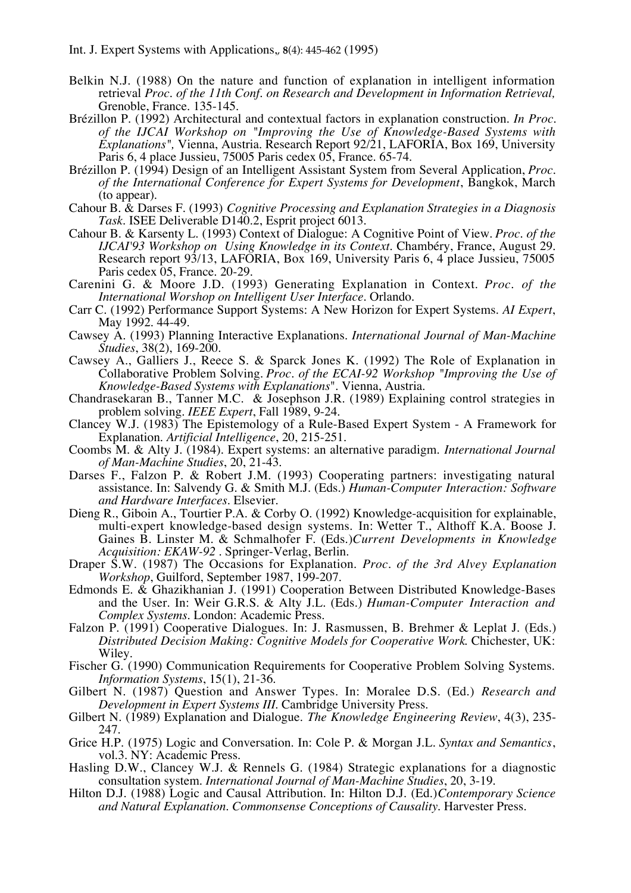- Belkin N.J. (1988) On the nature and function of explanation in intelligent information retrieval *Proc. of the 11th Conf. on Research and Development in Information Retrieval,* Grenoble, France. 135-145.
- Brézillon P. (1992) Architectural and contextual factors in explanation construction. *In Proc. of the IJCAI Workshop on "Improving the Use of Knowledge-Based Systems with Explanations",* Vienna, Austria. Research Report 92/21, LAFORIA, Box 169, University Paris 6, 4 place Jussieu, 75005 Paris cedex 05, France. 65-74.
- Brézillon P. (1994) Design of an Intelligent Assistant System from Several Application, *Proc. of the International Conference for Expert Systems for Development*, Bangkok, March (to appear).
- Cahour B. & Darses F. (1993) *Cognitive Processing and Explanation Strategies in a Diagnosis Task*. ISEE Deliverable D140.2, Esprit project 6013.
- Cahour B. & Karsenty L. (1993) Context of Dialogue: A Cognitive Point of View. *Proc. of the IJCAI'93 Workshop on Using Knowledge in its Context*. Chambéry, France, August 29. Research report 93/13, LAFORIA, Box 169, University Paris 6, 4 place Jussieu, 75005 Paris cedex 05, France. 20-29.
- Carenini G. & Moore J.D. (1993) Generating Explanation in Context. *Proc. of the International Worshop on Intelligent User Interface.* Orlando.
- Carr C. (1992) Performance Support Systems: A New Horizon for Expert Systems. *AI Expert*, May 1992. 44-49.
- Cawsey A. (1993) Planning Interactive Explanations. *International Journal of Man-Machine Studies*, 38(2), 169-200.
- Cawsey A., Galliers J., Reece S. & Sparck Jones K. (1992) The Role of Explanation in Collaborative Problem Solving. *Proc. of the ECAI-92 Workshop "Improving the Use of Knowledge-Based Systems with Explanations*". Vienna, Austria.
- Chandrasekaran B., Tanner M.C. & Josephson J.R. (1989) Explaining control strategies in problem solving. *IEEE Expert*, Fall 1989, 9-24.
- Clancey W.J. (1983) The Epistemology of a Rule-Based Expert System A Framework for Explanation. *Artificial Intelligence*, 20, 215-251.
- Coombs M. & Alty J. (1984). Expert systems: an alternative paradigm. *International Journal of Man-Machine Studies*, 20, 21-43.
- Darses F., Falzon P. & Robert J.M. (1993) Cooperating partners: investigating natural assistance. In: Salvendy G. & Smith M.J. (Eds.) *Human-Computer Interaction: Software and Hardware Interfaces*. Elsevier.
- Dieng R., Giboin A., Tourtier P.A. & Corby O. (1992) Knowledge-acquisition for explainable, multi-expert knowledge-based design systems. In: Wetter T., Althoff K.A. Boose J. Gaines B. Linster M. & Schmalhofer F. (Eds.)*Current Developments in Knowledge Acquisition: EKAW-92* . Springer-Verlag, Berlin.
- Draper S.W. (1987) The Occasions for Explanation. *Proc. of the 3rd Alvey Explanation Workshop*, Guilford, September 1987, 199-207.
- Edmonds E. & Ghazikhanian J. (1991) Cooperation Between Distributed Knowledge-Bases and the User. In: Weir G.R.S. & Alty J.L. (Eds.) *Human-Computer Interaction and Complex Systems*. London: Academic Press.
- Falzon P. (1991) Cooperative Dialogues. In: J. Rasmussen, B. Brehmer & Leplat J. (Eds.) *Distributed Decision Making: Cognitive Models for Cooperative Work*. Chichester, UK: Wiley.
- Fischer G. (1990) Communication Requirements for Cooperative Problem Solving Systems. *Information Systems*, 15(1), 21-36.
- Gilbert N. (1987) Question and Answer Types. In: Moralee D.S. (Ed.) *Research and Development in Expert Systems III*. Cambridge University Press.
- Gilbert N. (1989) Explanation and Dialogue. *The Knowledge Engineering Review*, 4(3), 235- 247.
- Grice H.P. (1975) Logic and Conversation. In: Cole P. & Morgan J.L. *Syntax and Semantics*, vol.3. NY: Academic Press.
- Hasling D.W., Clancey W.J. & Rennels G. (1984) Strategic explanations for a diagnostic consultation system. *International Journal of Man-Machine Studies*, 20, 3-19.
- Hilton D.J. (1988) Logic and Causal Attribution. In: Hilton D.J. (Ed.)*Contemporary Science and Natural Explanation. Commonsense Conceptions of Causality*. Harvester Press.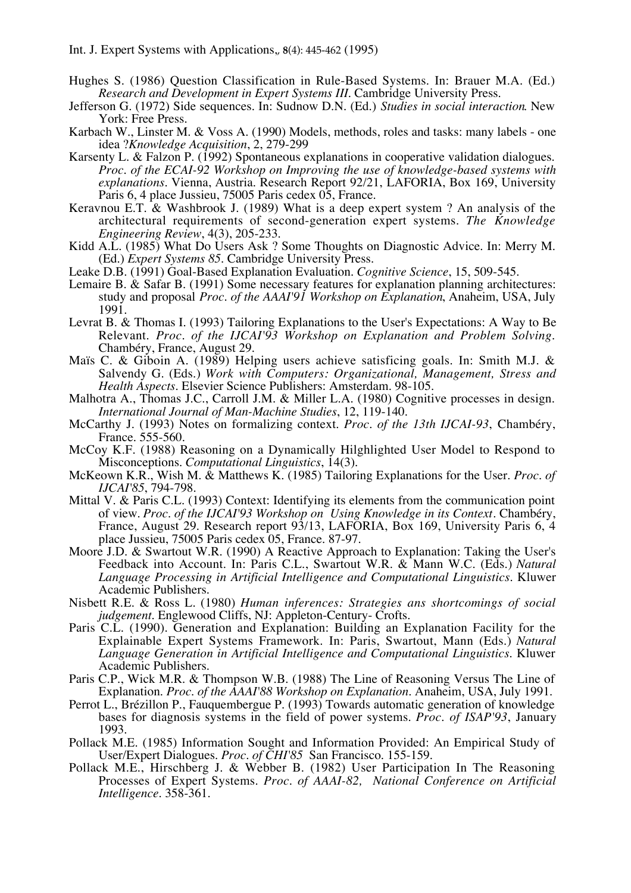- Hughes S. (1986) Question Classification in Rule-Based Systems. In: Brauer M.A. (Ed.) *Research and Development in Expert Systems III*. Cambridge University Press.
- Jefferson G. (1972) Side sequences. In: Sudnow D.N. (Ed.) *Studies in social interaction*. New York: Free Press.
- Karbach W., Linster M. & Voss A. (1990) Models, methods, roles and tasks: many labels one idea ?*Knowledge Acquisition*, 2, 279-299
- Karsenty L. & Falzon P. (1992) Spontaneous explanations in cooperative validation dialogues. *Proc. of the ECAI-92 Workshop on Improving the use of knowledge-based systems with explanations*. Vienna, Austria. Research Report 92/21, LAFORIA, Box 169, University Paris 6, 4 place Jussieu, 75005 Paris cedex 05, France.
- Keravnou E.T. & Washbrook J. (1989) What is a deep expert system ? An analysis of the architectural requirements of second-generation expert systems. *The Knowledge Engineering Review*, 4(3), 205-233.
- Kidd A.L. (1985) What Do Users Ask ? Some Thoughts on Diagnostic Advice. In: Merry M. (Ed.) *Expert Systems 85*. Cambridge University Press.
- Leake D.B. (1991) Goal-Based Explanation Evaluation. *Cognitive Science*, 15, 509-545.
- Lemaire B. & Safar B. (1991) Some necessary features for explanation planning architectures: study and proposal *Proc. of the AAAI'91 Workshop on Explanation*, Anaheim, USA, July 1991.
- Levrat B. & Thomas I. (1993) Tailoring Explanations to the User's Expectations: A Way to Be Relevant. *Proc. of the IJCAI'93 Workshop on Explanation and Problem Solving*. Chambéry, France, August 29.
- Maïs C. & Giboin A. (1989) Helping users achieve satisficing goals. In: Smith M.J. & Salvendy G. (Eds.) *Work with Computers: Organizational, Management, Stress and Health Aspects*. Elsevier Science Publishers: Amsterdam. 98-105.
- Malhotra A., Thomas J.C., Carroll J.M. & Miller L.A. (1980) Cognitive processes in design. *International Journal of Man-Machine Studies*, 12, 119-140.
- McCarthy J. (1993) Notes on formalizing context. *Proc. of the 13th IJCAI-93*, Chambéry, France. 555-560.
- McCoy K.F. (1988) Reasoning on a Dynamically Hilghlighted User Model to Respond to Misconceptions. *Computational Linguistics*, 14(3).
- McKeown K.R., Wish M. & Matthews K. (1985) Tailoring Explanations for the User. *Proc. of IJCAI'85*, 794-798.
- Mittal V. & Paris C.L. (1993) Context: Identifying its elements from the communication point of view. *Proc. of the IJCAI'93 Workshop on Using Knowledge in its Context*. Chambéry, France, August 29. Research report 93/13, LAFORIA, Box 169, University Paris 6, 4 place Jussieu, 75005 Paris cedex 05, France. 87-97.
- Moore J.D. & Swartout W.R. (1990) A Reactive Approach to Explanation: Taking the User's Feedback into Account. In: Paris C.L., Swartout W.R. & Mann W.C. (Eds.) *Natural Language Processing in Artificial Intelligence and Computational Linguistics*. Kluwer Academic Publishers.
- Nisbett R.E. & Ross L. (1980) *Human inferences: Strategies ans shortcomings of social judgement*. Englewood Cliffs, NJ: Appleton-Century- Crofts.
- Paris C.L. (1990). Generation and Explanation: Building an Explanation Facility for the Explainable Expert Systems Framework. In: Paris, Swartout, Mann (Eds.) *Natural Language Generation in Artificial Intelligence and Computational Linguistics*. Kluwer Academic Publishers.
- Paris C.P., Wick M.R. & Thompson W.B. (1988) The Line of Reasoning Versus The Line of Explanation. *Proc. of the AAAI'88 Workshop on Explanation.* Anaheim, USA, July 1991.
- Perrot L., Brézillon P., Fauquembergue P. (1993) Towards automatic generation of knowledge bases for diagnosis systems in the field of power systems. *Proc. of ISAP'93*, January 1993.
- Pollack M.E. (1985) Information Sought and Information Provided: An Empirical Study of User/Expert Dialogues. *Proc. of CHI'85* San Francisco. 155-159.
- Pollack M.E., Hirschberg J. & Webber B. (1982) User Participation In The Reasoning Processes of Expert Systems. *Proc. of AAAI-82, National Conference on Artificial Intelligence*. 358-361.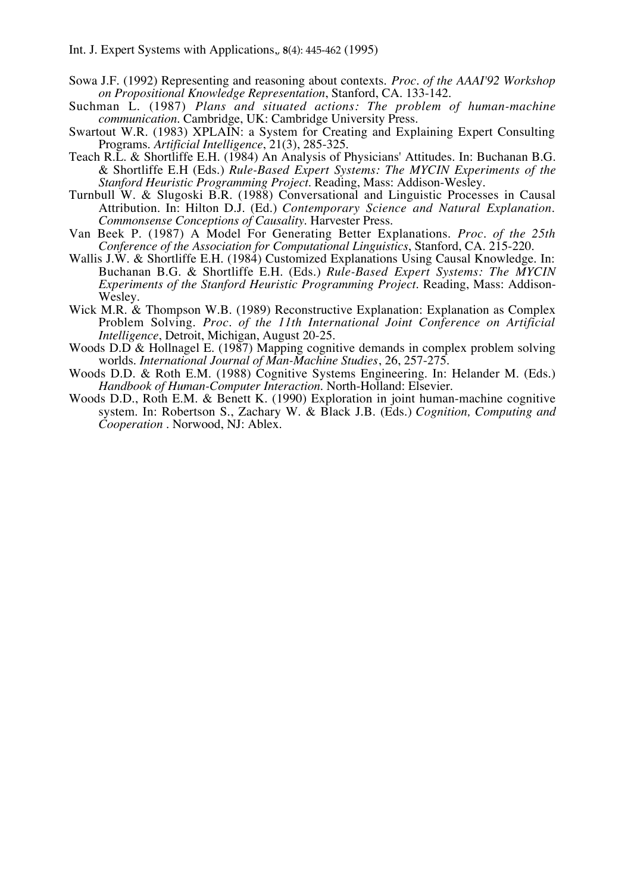- Sowa J.F. (1992) Representing and reasoning about contexts. *Proc. of the AAAI'92 Workshop on Propositional Knowledge Representation*, Stanford, CA. 133-142.
- Suchman L. (1987) *Plans and situated actions: The problem of human-machine communication*. Cambridge, UK: Cambridge University Press.
- Swartout W.R. (1983) XPLAIN: a System for Creating and Explaining Expert Consulting Programs. *Artificial Intelligence*, 21(3), 285-325.
- Teach R.L. & Shortliffe E.H. (1984) An Analysis of Physicians' Attitudes. In: Buchanan B.G. & Shortliffe E.H (Eds.) *Rule-Based Expert Systems: The MYCIN Experiments of the Stanford Heuristic Programming Project*. Reading, Mass: Addison-Wesley.
- Turnbull W. & Slugoski B.R. (1988) Conversational and Linguistic Processes in Causal Attribution. In: Hilton D.J. (Ed.) *Contemporary Science and Natural Explanation. Commonsense Conceptions of Causality*. Harvester Press.
- Van Beek P. (1987) A Model For Generating Better Explanations. *Proc. of the 25th Conference of the Association for Computational Linguistics*, Stanford, CA. 215-220.
- Wallis J.W. & Shortliffe E.H. (1984) Customized Explanations Using Causal Knowledge. In: Buchanan B.G. & Shortliffe E.H. (Eds.) *Rule-Based Expert Systems: The MYCIN Experiments of the Stanford Heuristic Programming Project*. Reading, Mass: Addison-Wesley.
- Wick M.R. & Thompson W.B. (1989) Reconstructive Explanation: Explanation as Complex Problem Solving. *Proc. of the 11th International Joint Conference on Artificial Intelligence*, Detroit, Michigan, August 20-25.
- Woods D.D & Hollnagel E. (1987) Mapping cognitive demands in complex problem solving worlds. *International Journal of Man-Machine Studies*, 26, 257-275.
- Woods D.D. & Roth E.M. (1988) Cognitive Systems Engineering. In: Helander M. (Eds.) *Handbook of Human-Computer Interaction*. North-Holland: Elsevier.
- Woods D.D., Roth E.M. & Benett K. (1990) Exploration in joint human-machine cognitive system. In: Robertson S., Zachary W. & Black J.B. (Eds.) *Cognition, Computing and Cooperation* . Norwood, NJ: Ablex.